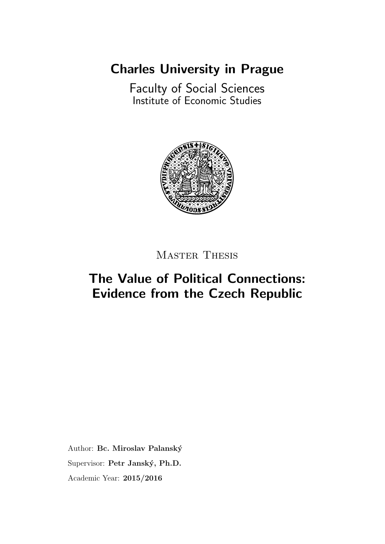[Charles University in Prague](http://www.cuni.cz/UKENG-1.html)

[Faculty of Social Sciences](http://fsveng.fsv.cuni.cz/FSVENG-1.html) [Institute of Economic Studies](http://ies.fsv.cuni.cz/index.php?module=board&action=board&lng=en_GB)



MASTER THESIS

# The Value of Political Connections: Evidence from the Czech Republic

Author: Bc. Miroslav Palanský Supervisor: Petr Janský, Ph.D. Academic Year: 2015/2016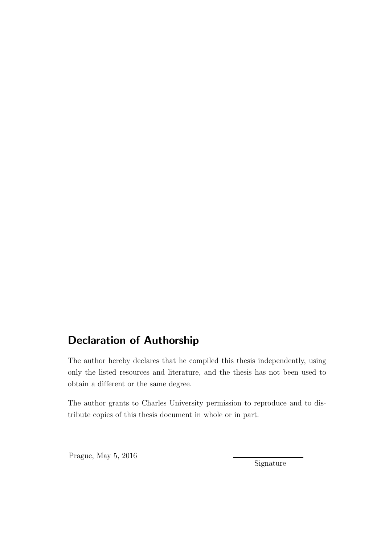# Declaration of Authorship

The author hereby declares that he compiled this thesis independently, using only the listed resources and literature, and the thesis has not been used to obtain a different or the same degree.

The author grants to Charles University permission to reproduce and to distribute copies of this thesis document in whole or in part.

Prague, May 5, 2016

Signature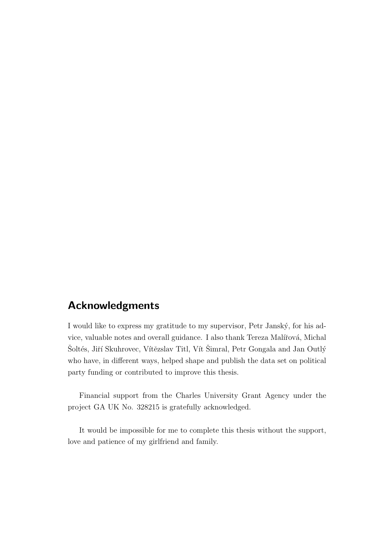## Acknowledgments

I would like to express my gratitude to my supervisor, Petr Janský, for his advice, valuable notes and overall guidance. I also thank Tereza Malířová, Michal Soltés, Jiří Skuhrovec, Vítězslav Titl, Vít Simral, Petr Gongala and Jan Outlý who have, in different ways, helped shape and publish the data set on political party funding or contributed to improve this thesis.

Financial support from the Charles University Grant Agency under the project GA UK No. 328215 is gratefully acknowledged.

It would be impossible for me to complete this thesis without the support, love and patience of my girlfriend and family.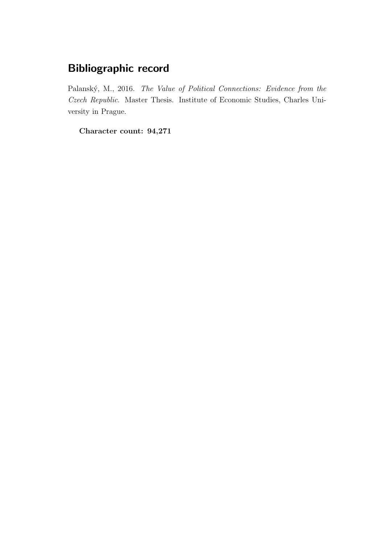# Bibliographic record

Palanský, M., 2016. The Value of Political Connections: Evidence from the Czech Republic. Master Thesis. Institute of Economic Studies, Charles University in Prague.

Character count: 94,271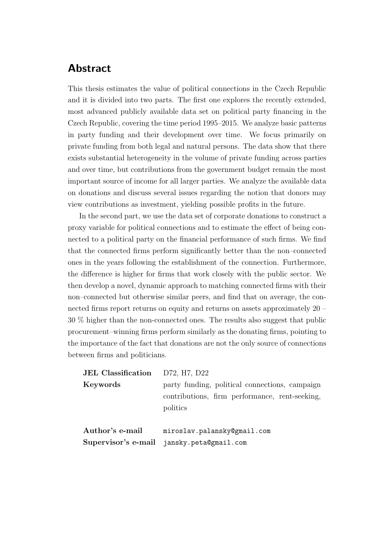# Abstract

This thesis estimates the value of political connections in the Czech Republic and it is divided into two parts. The first one explores the recently extended, most advanced publicly available data set on political party financing in the Czech Republic, covering the time period 1995–2015. We analyze basic patterns in party funding and their development over time. We focus primarily on private funding from both legal and natural persons. The data show that there exists substantial heterogeneity in the volume of private funding across parties and over time, but contributions from the government budget remain the most important source of income for all larger parties. We analyze the available data on donations and discuss several issues regarding the notion that donors may view contributions as investment, yielding possible profits in the future.

In the second part, we use the data set of corporate donations to construct a proxy variable for political connections and to estimate the effect of being connected to a political party on the financial performance of such firms. We find that the connected firms perform significantly better than the non–connected ones in the years following the establishment of the connection. Furthermore, the difference is higher for firms that work closely with the public sector. We then develop a novel, dynamic approach to matching connected firms with their non–connected but otherwise similar peers, and find that on average, the connected firms report returns on equity and returns on assets approximately 20 – 30 % higher than the non-connected ones. The results also suggest that public procurement–winning firms perform similarly as the donating firms, pointing to the importance of the fact that donations are not the only source of connections between firms and politicians.

| <b>JEL Classification</b> | D72, H7, D22                                                                                                 |
|---------------------------|--------------------------------------------------------------------------------------------------------------|
| Keywords                  | party funding, political connections, campaign<br>contributions, firm performance, rent-seeking,<br>politics |
| Author's e-mail           | miroslav.palansky@gmail.com<br>Supervisor's e-mail jansky.peta@gmail.com                                     |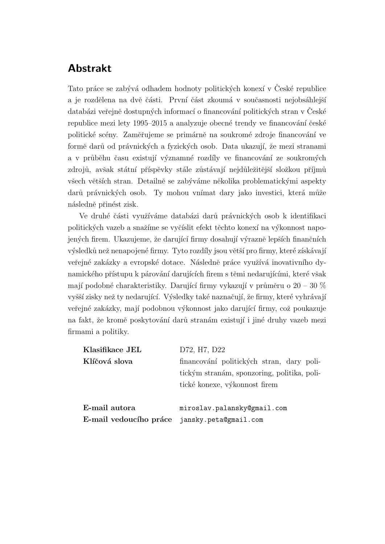# Abstrakt

Tato práce se zabývá odhadem hodnoty politických konexí v České republice a je rozdělena na dvě části. První část zkoumá v současnosti nejobsáhlejší databázi veřejně dostupných informací o financování politických stran v České republice mezi lety 1995–2015 a analyzuje obecné trendy ve financování české politické scény. Zaměřujeme se primárně na soukromé zdroje financování ve formě darů od právnických a fyzických osob. Data ukazují, že mezi stranami a v průběhu času existují významné rozdíly ve financování ze soukromých zdrojů, avšak státní příspěvky stále zůstávají nejdůležitější složkou příjmů všech větších stran. Detailně se zabýváme několika problematickými aspekty darů právnických osob. Ty mohou vnímat dary jako investici, která může následně přinést zisk.

Ve druhé části využíváme databázi darů právnických osob k identifikaci politických vazeb a snažíme se vyčíslit efekt těchto konexí na výkonnost napojených firem. Ukazujeme, že darující firmy dosahují výrazně lepších finančních výsledků než nenapojené firmy. Tyto rozdíly jsou větší pro firmy, které získávají veřejné zakázky a evropské dotace. Následně práce využívá inovativního dynamického přístupu k párování darujících firem s těmi nedarujícími, které však mají podobné charakteristiky. Darující firmy vykazují v průměru o  $20 - 30 \%$ vyšší zisky než ty nedarující. Výsledky také naznačují, že firmy, které vyhrávají veřejné zakázky, mají podobnou výkonnost jako darující firmy, což poukazuje na fakt, že kromě poskytování darů stranám existují i jiné druhy vazeb mezi firmami a politiky.

| Klasifikace JEL                              | D72, H7, D22                                |
|----------------------------------------------|---------------------------------------------|
| Klíčová slova                                | financování politických stran, dary poli-   |
|                                              | tickým stranám, sponzoring, politika, poli- |
|                                              | tické konexe, výkonnost firem               |
|                                              |                                             |
| E-mail autora                                | miroslav.palansky@gmail.com                 |
| E-mail vedoucího práce jansky.peta@gmail.com |                                             |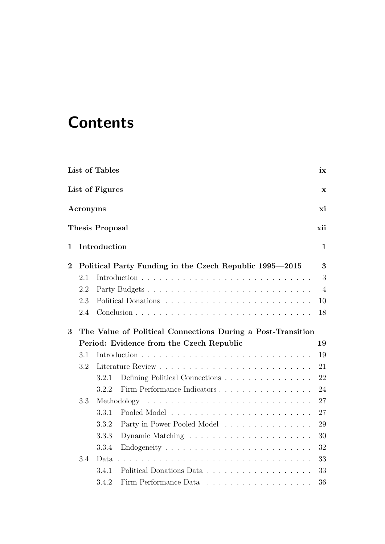# **Contents**

|                |          | List of Tables                                                                                                                                                                                                                                                                                                                                                                                                                                                                              | ix             |
|----------------|----------|---------------------------------------------------------------------------------------------------------------------------------------------------------------------------------------------------------------------------------------------------------------------------------------------------------------------------------------------------------------------------------------------------------------------------------------------------------------------------------------------|----------------|
|                |          | List of Figures                                                                                                                                                                                                                                                                                                                                                                                                                                                                             | $\mathbf x$    |
|                | Acronyms |                                                                                                                                                                                                                                                                                                                                                                                                                                                                                             | хi             |
|                |          | <b>Thesis Proposal</b>                                                                                                                                                                                                                                                                                                                                                                                                                                                                      | xii            |
| $\mathbf{1}$   |          | Introduction                                                                                                                                                                                                                                                                                                                                                                                                                                                                                | $\mathbf{1}$   |
| $\overline{2}$ |          | Political Party Funding in the Czech Republic 1995—2015                                                                                                                                                                                                                                                                                                                                                                                                                                     | 3              |
|                | 2.1      |                                                                                                                                                                                                                                                                                                                                                                                                                                                                                             | 3              |
|                | 2.2      |                                                                                                                                                                                                                                                                                                                                                                                                                                                                                             | $\overline{4}$ |
|                | 2.3      |                                                                                                                                                                                                                                                                                                                                                                                                                                                                                             | 10             |
|                | 2.4      |                                                                                                                                                                                                                                                                                                                                                                                                                                                                                             | 18             |
| 3              |          | The Value of Political Connections During a Post-Transition                                                                                                                                                                                                                                                                                                                                                                                                                                 |                |
|                |          | Period: Evidence from the Czech Republic                                                                                                                                                                                                                                                                                                                                                                                                                                                    | 19             |
|                | 3.1      |                                                                                                                                                                                                                                                                                                                                                                                                                                                                                             | 19             |
|                | 3.2      |                                                                                                                                                                                                                                                                                                                                                                                                                                                                                             | 21             |
|                |          | Defining Political Connections<br>3.2.1                                                                                                                                                                                                                                                                                                                                                                                                                                                     | 22             |
|                |          | 3.2.2<br>Firm Performance Indicators                                                                                                                                                                                                                                                                                                                                                                                                                                                        | 24             |
|                | 3.3      | Methodology                                                                                                                                                                                                                                                                                                                                                                                                                                                                                 | 27             |
|                |          | 3.3.1                                                                                                                                                                                                                                                                                                                                                                                                                                                                                       | 27             |
|                |          | 3.3.2<br>Party in Power Pooled Model                                                                                                                                                                                                                                                                                                                                                                                                                                                        | 29             |
|                |          | 3.3.3                                                                                                                                                                                                                                                                                                                                                                                                                                                                                       | 30             |
|                |          | 3.3.4                                                                                                                                                                                                                                                                                                                                                                                                                                                                                       | 32             |
|                | 3.4      | Data                                                                                                                                                                                                                                                                                                                                                                                                                                                                                        | 33             |
|                |          | 3.4.1                                                                                                                                                                                                                                                                                                                                                                                                                                                                                       | 33             |
|                |          | Firm Performance Data<br>3.4.2<br>$\mathcal{L}^{\mathcal{A}}(\mathcal{A}^{\mathcal{A}}(\mathcal{A}^{\mathcal{A}}(\mathcal{A}^{\mathcal{A}}(\mathcal{A}^{\mathcal{A}}(\mathcal{A}^{\mathcal{A}}(\mathcal{A}^{\mathcal{A}}(\mathcal{A}^{\mathcal{A}}(\mathcal{A}^{\mathcal{A}}(\mathcal{A}^{\mathcal{A}}(\mathcal{A}^{\mathcal{A}}(\mathcal{A}^{\mathcal{A}}(\mathcal{A}^{\mathcal{A}}(\mathcal{A}^{\mathcal{A}}(\mathcal{A}^{\mathcal{A}}(\mathcal{A}^{\mathcal{A}}(\mathcal{A}^{\mathcal{A$ | 36             |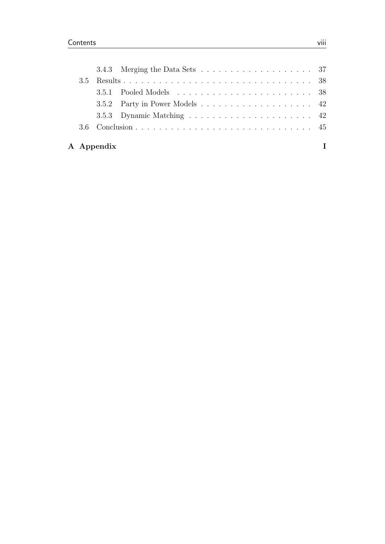|     | A Appendix |  |
|-----|------------|--|
|     |            |  |
|     |            |  |
|     |            |  |
|     |            |  |
| 3.5 |            |  |
|     |            |  |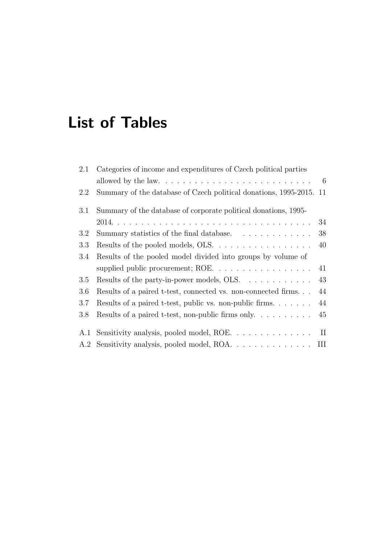# <span id="page-8-0"></span>List of Tables

| 2.1 | Categories of income and expenditures of Czech political parties        |     |
|-----|-------------------------------------------------------------------------|-----|
|     |                                                                         | - 6 |
| 2.2 | Summary of the database of Czech political donations, 1995-2015. 11     |     |
| 3.1 | Summary of the database of corporate political donations, 1995–         |     |
|     |                                                                         | 34  |
| 3.2 | Summary statistics of the final database.                               | 38  |
| 3.3 | Results of the pooled models, OLS.                                      | 40  |
| 3.4 | Results of the pooled model divided into groups by volume of            |     |
|     | supplied public procurement; ROE. $\dots \dots \dots \dots \dots \dots$ | 41  |
| 3.5 | Results of the party-in-power models, OLS. $\dots \dots \dots$          | 43  |
| 3.6 | Results of a paired t-test, connected vs. non-connected firms           | 44  |
| 3.7 | Results of a paired t-test, public vs. non-public firms. $\ldots$       | 44  |
| 3.8 |                                                                         |     |
|     |                                                                         |     |
| A.1 | Sensitivity analysis, pooled model, ROE. II                             |     |
|     | A.2 Sensitivity analysis, pooled model, ROA. III                        |     |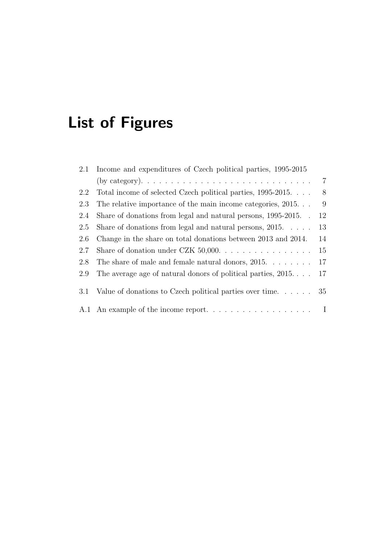# <span id="page-9-0"></span>List of Figures

| 2.1 Income and expenditures of Czech political parties, 1995-2015                        |                                                                                                                                          |
|------------------------------------------------------------------------------------------|------------------------------------------------------------------------------------------------------------------------------------------|
| (by category). $\dots \dots \dots \dots \dots \dots \dots \dots \dots \dots \dots \dots$ | $\overline{7}$                                                                                                                           |
| Total income of selected Czech political parties, 1995-2015                              | - 8                                                                                                                                      |
| The relative importance of the main income categories, $2015. \ldots$                    | -9                                                                                                                                       |
| Share of donations from legal and natural persons, 1995-2015                             | 12                                                                                                                                       |
| Share of donations from legal and natural persons, $2015. \ldots$ .                      | 13                                                                                                                                       |
| Change in the share on total donations between 2013 and 2014.                            | 14                                                                                                                                       |
|                                                                                          | 15                                                                                                                                       |
| The share of male and female natural donors, $2015. \ldots \ldots$                       | 17                                                                                                                                       |
|                                                                                          | 17                                                                                                                                       |
|                                                                                          |                                                                                                                                          |
|                                                                                          |                                                                                                                                          |
|                                                                                          | The average age of natural donors of political parties, $2015$<br>Value of donations to Czech political parties over time. $\ldots$ . 35 |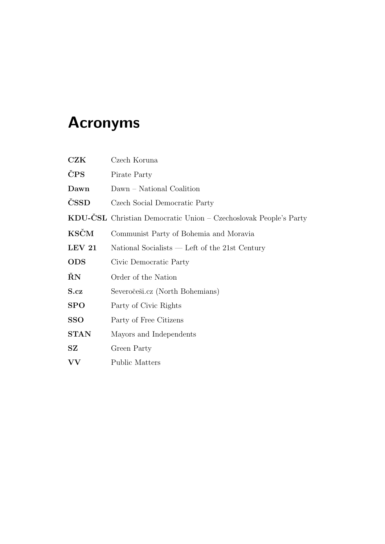# <span id="page-10-0"></span>Acronyms

<span id="page-10-15"></span><span id="page-10-14"></span><span id="page-10-13"></span><span id="page-10-12"></span><span id="page-10-11"></span><span id="page-10-10"></span><span id="page-10-9"></span><span id="page-10-8"></span><span id="page-10-7"></span><span id="page-10-6"></span><span id="page-10-5"></span><span id="page-10-4"></span><span id="page-10-3"></span><span id="page-10-2"></span><span id="page-10-1"></span>

| CZK                     | Czech Koruna                                                     |
|-------------------------|------------------------------------------------------------------|
| ČPS                     | Pirate Party                                                     |
| Dawn                    | Dawn – National Coalition                                        |
| ČSSD                    | Czech Social Democratic Party                                    |
|                         | KDU-ČSL Christian Democratic Union - Czechoslovak People's Party |
| <b>KSČM</b>             | Communist Party of Bohemia and Moravia                           |
| LEV 21                  | National Socialists — Left of the 21st Century                   |
| <b>ODS</b>              | Civic Democratic Party                                           |
| ŘN                      | Order of the Nation                                              |
| S.cz                    | Severočeši.cz (North Bohemians)                                  |
| SPO                     | Party of Civic Rights                                            |
| SSO                     | Party of Free Citizens                                           |
| <b>STAN</b>             | Mayors and Independents                                          |
| $\mathbf{S} \mathbf{Z}$ | Green Party                                                      |
| $\mathbf{V}\mathbf{V}$  | <b>Public Matters</b>                                            |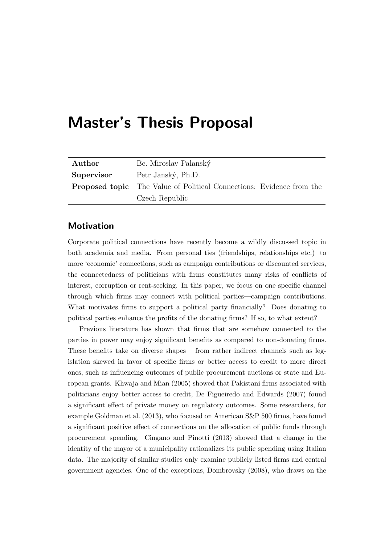# <span id="page-11-0"></span>Master's Thesis Proposal

| Author     | Bc. Miroslav Palanský                                                       |
|------------|-----------------------------------------------------------------------------|
| Supervisor | Petr Janský, Ph.D.                                                          |
|            | <b>Proposed topic</b> The Value of Political Connections: Evidence from the |
|            | Czech Republic                                                              |

### **Motivation**

Corporate political connections have recently become a wildly discussed topic in both academia and media. From personal ties (friendships, relationships etc.) to more 'economic' connections, such as campaign contributions or discounted services, the connectedness of politicians with firms constitutes many risks of conflicts of interest, corruption or rent-seeking. In this paper, we focus on one specific channel through which firms may connect with political parties—campaign contributions. What motivates firms to support a political party financially? Does donating to political parties enhance the profits of the donating firms? If so, to what extent?

Previous literature has shown that firms that are somehow connected to the parties in power may enjoy significant benefits as compared to non-donating firms. These benefits take on diverse shapes – from rather indirect channels such as legislation skewed in favor of specific firms or better access to credit to more direct ones, such as influencing outcomes of public procurement auctions or state and European grants. [Khwaja and Mian](#page-65-0) [\(2005\)](#page-65-0) showed that Pakistani firms associated with politicians enjoy better access to credit, [De Figueiredo and Edwards](#page-63-0) [\(2007\)](#page-63-0) found a significant effect of private money on regulatory outcomes. Some researchers, for example [Goldman et al.](#page-64-0) [\(2013\)](#page-64-0), who focused on American S&P 500 firms, have found a significant positive effect of connections on the allocation of public funds through procurement spending. [Cingano and Pinotti](#page-63-1) [\(2013\)](#page-63-1) showed that a change in the identity of the mayor of a municipality rationalizes its public spending using Italian data. The majority of similar studies only examine publicly listed firms and central government agencies. One of the exceptions, [Dombrovsky](#page-63-2) [\(2008\)](#page-63-2), who draws on the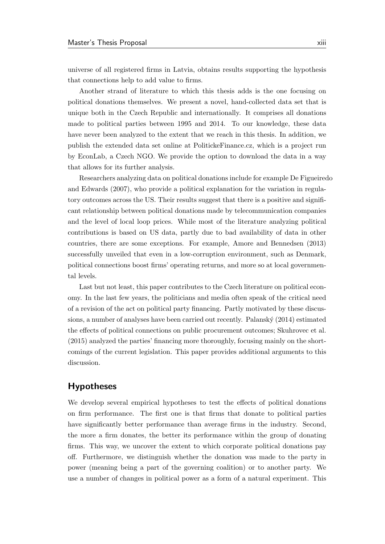universe of all registered firms in Latvia, obtains results supporting the hypothesis that connections help to add value to firms.

Another strand of literature to which this thesis adds is the one focusing on political donations themselves. We present a novel, hand-collected data set that is unique both in the Czech Republic and internationally. It comprises all donations made to political parties between 1995 and 2014. To our knowledge, these data have never been analyzed to the extent that we reach in this thesis. In addition, we publish the extended data set online at PolitickeFinance.cz, which is a project run by EconLab, a Czech NGO. We provide the option to download the data in a way that allows for its further analysis.

Researchers analyzing data on political donations include for example [De Figueired](#page-63-0)o [and Edwards](#page-63-0) [\(2007\)](#page-63-0), who provide a political explanation for the variation in regulatory outcomes across the US. Their results suggest that there is a positive and significant relationship between political donations made by telecommunication companies and the level of local loop prices. While most of the literature analyzing political contributions is based on US data, partly due to bad availability of data in other countries, there are some exceptions. For example, [Amore and Bennedsen](#page-62-0) [\(2013\)](#page-62-0) successfully unveiled that even in a low-corruption environment, such as Denmark, political connections boost firms' operating returns, and more so at local governmental levels.

Last but not least, this paper contributes to the Czech literature on political economy. In the last few years, the politicians and media often speak of the critical need of a revision of the act on political party financing. Partly motivated by these discussions, a number of analyses have been carried out recently. Palanský  $(2014)$  estimated the effects of political connections on public procurement outcomes; [Skuhrovec et al.](#page-66-1) [\(2015\)](#page-66-1) analyzed the parties' financing more thoroughly, focusing mainly on the shortcomings of the current legislation. This paper provides additional arguments to this discussion.

#### Hypotheses

We develop several empirical hypotheses to test the effects of political donations on firm performance. The first one is that firms that donate to political parties have significantly better performance than average firms in the industry. Second, the more a firm donates, the better its performance within the group of donating firms. This way, we uncover the extent to which corporate political donations pay off. Furthermore, we distinguish whether the donation was made to the party in power (meaning being a part of the governing coalition) or to another party. We use a number of changes in political power as a form of a natural experiment. This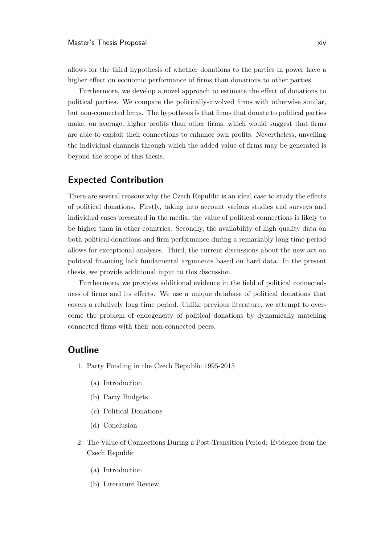allows for the third hypothesis of whether donations to the parties in power have a higher effect on economic performance of firms than donations to other parties.

Furthermore, we develop a novel approach to estimate the effect of donations to political parties. We compare the politically-involved firms with otherwise similar, but non-connected firms. The hypothesis is that firms that donate to political parties make, on average, higher profits than other firms, which would suggest that firms are able to exploit their connections to enhance own profits. Nevertheless, unveiling the individual channels through which the added value of firms may be generated is beyond the scope of this thesis.

### Expected Contribution

There are several reasons why the Czech Republic is an ideal case to study the effects of political donations. Firstly, taking into account various studies and surveys and individual cases presented in the media, the value of political connections is likely to be higher than in other countries. Secondly, the availability of high quality data on both political donations and firm performance during a remarkably long time period allows for exceptional analyses. Third, the current discussions about the new act on political financing lack fundamental arguments based on hard data. In the present thesis, we provide additional input to this discussion.

Furthermore, we provides additional evidence in the field of political connectedness of firms and its effects. We use a unique database of political donations that covers a relatively long time period. Unlike previous literature, we attempt to overcome the problem of endogeneity of political donations by dynamically matching connected firms with their non-connected peers.

### **Outline**

- 1. Party Funding in the Czech Republic 1995-2015
	- (a) Introduction
	- (b) Party Budgets
	- (c) Political Donations
	- (d) Conclusion
- 2. The Value of Connections During a Post-Transition Period: Evidence from the Czech Republic
	- (a) Introduction
	- (b) Literature Review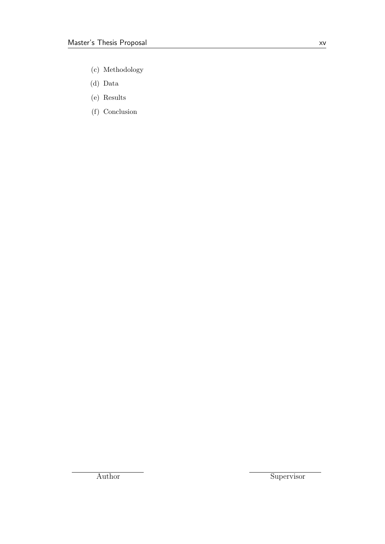- (c) Methodology
- (d) Data
- (e) Results
- (f) Conclusion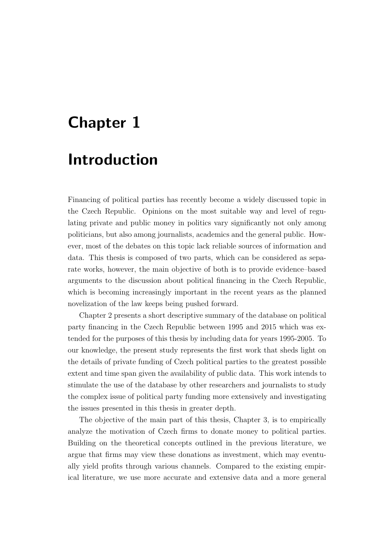# <span id="page-15-0"></span>Chapter 1

# Introduction

Financing of political parties has recently become a widely discussed topic in the Czech Republic. Opinions on the most suitable way and level of regulating private and public money in politics vary significantly not only among politicians, but also among journalists, academics and the general public. However, most of the debates on this topic lack reliable sources of information and data. This thesis is composed of two parts, which can be considered as separate works, however, the main objective of both is to provide evidence–based arguments to the discussion about political financing in the Czech Republic, which is becoming increasingly important in the recent years as the planned novelization of the law keeps being pushed forward.

[Chapter 2](#page-17-0) presents a short descriptive summary of the database on political party financing in the Czech Republic between 1995 and 2015 which was extended for the purposes of this thesis by including data for years 1995-2005. To our knowledge, the present study represents the first work that sheds light on the details of private funding of Czech political parties to the greatest possible extent and time span given the availability of public data. This work intends to stimulate the use of the database by other researchers and journalists to study the complex issue of political party funding more extensively and investigating the issues presented in this thesis in greater depth.

The objective of the main part of this thesis, [Chapter 3,](#page-33-0) is to empirically analyze the motivation of Czech firms to donate money to political parties. Building on the theoretical concepts outlined in the previous literature, we argue that firms may view these donations as investment, which may eventually yield profits through various channels. Compared to the existing empirical literature, we use more accurate and extensive data and a more general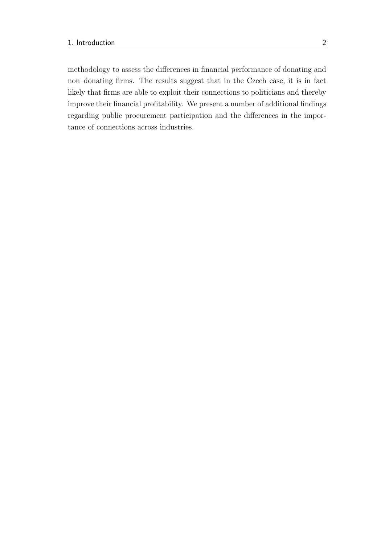methodology to assess the differences in financial performance of donating and non–donating firms. The results suggest that in the Czech case, it is in fact likely that firms are able to exploit their connections to politicians and thereby improve their financial profitability. We present a number of additional findings regarding public procurement participation and the differences in the importance of connections across industries.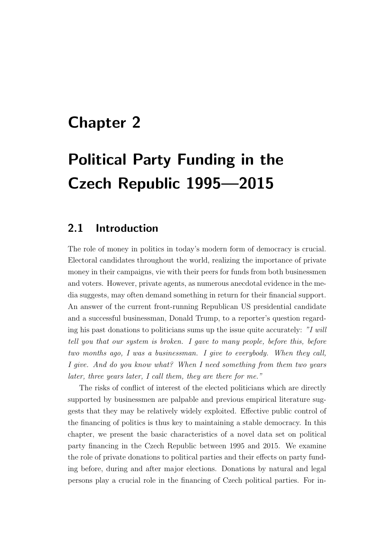# <span id="page-17-0"></span>Chapter 2

# Political Party Funding in the Czech Republic 1995—2015

## <span id="page-17-1"></span>2.1 Introduction

The role of money in politics in today's modern form of democracy is crucial. Electoral candidates throughout the world, realizing the importance of private money in their campaigns, vie with their peers for funds from both businessmen and voters. However, private agents, as numerous anecdotal evidence in the media suggests, may often demand something in return for their financial support. An answer of the current front-running Republican US presidential candidate and a successful businessman, Donald Trump, to a reporter's question regarding his past donations to politicians sums up the issue quite accurately: "I will tell you that our system is broken. I gave to many people, before this, before two months ago, I was a businessman. I give to everybody. When they call, I give. And do you know what? When I need something from them two years later, three years later, I call them, they are there for me."

The risks of conflict of interest of the elected politicians which are directly supported by businessmen are palpable and previous empirical literature suggests that they may be relatively widely exploited. Effective public control of the financing of politics is thus key to maintaining a stable democracy. In this chapter, we present the basic characteristics of a novel data set on political party financing in the Czech Republic between 1995 and 2015. We examine the role of private donations to political parties and their effects on party funding before, during and after major elections. Donations by natural and legal persons play a crucial role in the financing of Czech political parties. For in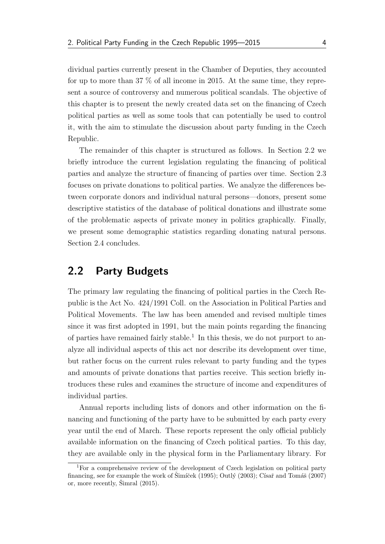dividual parties currently present in the Chamber of Deputies, they accounted for up to more than 37 % of all income in 2015. At the same time, they represent a source of controversy and numerous political scandals. The objective of this chapter is to present the newly created data set on the financing of Czech political parties as well as some tools that can potentially be used to control it, with the aim to stimulate the discussion about party funding in the Czech Republic.

The remainder of this chapter is structured as follows. In [Section 2.2](#page-18-0) we briefly introduce the current legislation regulating the financing of political parties and analyze the structure of financing of parties over time. [Section 2.3](#page-24-0) focuses on private donations to political parties. We analyze the differences between corporate donors and individual natural persons—donors, present some descriptive statistics of the database of political donations and illustrate some of the problematic aspects of private money in politics graphically. Finally, we present some demographic statistics regarding donating natural persons. [Section 2.4](#page-32-0) concludes.

## <span id="page-18-0"></span>2.2 Party Budgets

The primary law regulating the financing of political parties in the Czech Republic is the Act No. 424/1991 Coll. on the Association in Political Parties and Political Movements. The law has been amended and revised multiple times since it was first adopted in 1991, but the main points regarding the financing of parties have remained fairly stable.<sup>[1](#page-18-1)</sup> In this thesis, we do not purport to analyze all individual aspects of this act nor describe its development over time, but rather focus on the current rules relevant to party funding and the types and amounts of private donations that parties receive. This section briefly introduces these rules and examines the structure of income and expenditures of individual parties.

Annual reports including lists of donors and other information on the financing and functioning of the party have to be submitted by each party every year until the end of March. These reports represent the only official publicly available information on the financing of Czech political parties. To this day, they are available only in the physical form in the Parliamentary library. For

<span id="page-18-1"></span><sup>&</sup>lt;sup>1</sup>For a comprehensive review of the development of Czech legislation on political party financing, see for example the work of  $\text{Simi\text{cek}} (1995)$  $\text{Simi\text{cek}} (1995)$ ; Outlý  $(2003)$ ; Císař and Tomáš [\(2007\)](#page-63-3) or, more recently,  $\check{S}$ imral  $(2015)$ .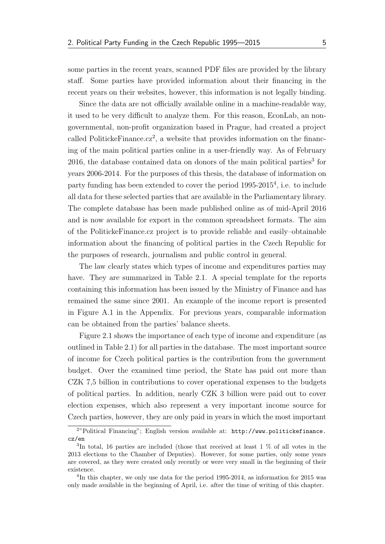some parties in the recent years, scanned PDF files are provided by the library staff. Some parties have provided information about their financing in the recent years on their websites, however, this information is not legally binding.

Since the data are not officially available online in a machine-readable way, it used to be very difficult to analyze them. For this reason, EconLab, an nongovernmental, non-profit organization based in Prague, had created a project called Politicke Finance.cz<sup>[2](#page-19-0)</sup>, a website that provides information on the financing of the main political parties online in a user-friendly way. As of February  $2016$ , the database contained data on donors of the main political parties<sup>[3](#page-19-1)</sup> for years 2006-2014. For the purposes of this thesis, the database of information on party funding has been extended to cover the period 1995-2015<sup>[4](#page-19-2)</sup>, i.e. to include all data for these selected parties that are available in the Parliamentary library. The complete database has been made published online as of mid-April 2016 and is now available for export in the common spreadsheet formats. The aim of the PolitickeFinance.cz project is to provide reliable and easily–obtainable information about the financing of political parties in the Czech Republic for the purposes of research, journalism and public control in general.

The law clearly states which types of income and expenditures parties may have. They are summarized in [Table 2.1.](#page-20-0) A special template for the reports containing this information has been issued by the Ministry of Finance and has remained the same since 2001. An example of the income report is presented in [Figure A.1](#page-67-1) in the Appendix. For previous years, comparable information can be obtained from the parties' balance sheets.

[Figure 2.1](#page-21-0) shows the importance of each type of income and expenditure (as outlined in [Table 2.1\)](#page-20-0) for all parties in the database. The most important source of income for Czech political parties is the contribution from the government budget. Over the examined time period, the State has paid out more than CZK 7,5 billion in contributions to cover operational expenses to the budgets of political parties. In addition, nearly CZK 3 billion were paid out to cover election expenses, which also represent a very important income source for Czech parties, however, they are only paid in years in which the most important

<span id="page-19-0"></span><sup>2</sup>"Political Financing"; English version available at: [http://www.politickefinance.](http://www.politickefinance.cz/en) [cz/en](http://www.politickefinance.cz/en)

<span id="page-19-1"></span><sup>3</sup> In total, 16 parties are included (those that received at least 1 % of all votes in the 2013 elections to the Chamber of Deputies). However, for some parties, only some years are covered, as they were created only recently or were very small in the beginning of their existence.

<span id="page-19-2"></span><sup>&</sup>lt;sup>4</sup>In this chapter, we only use data for the period 1995-2014, as information for 2015 was only made available in the beginning of April, i.e. after the time of writing of this chapter.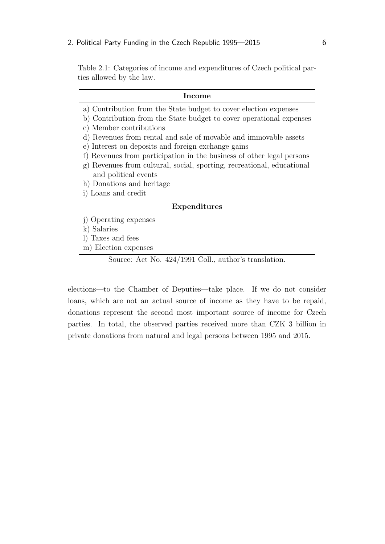<span id="page-20-0"></span>Table 2.1: Categories of income and expenditures of Czech political parties allowed by the law.

#### Income

- a) Contribution from the State budget to cover election expenses
- b) Contribution from the State budget to cover operational expenses c) Member contributions
- d) Revenues from rental and sale of movable and immovable assets
- e) Interest on deposits and foreign exchange gains
- f) Revenues from participation in the business of other legal persons
- g) Revenues from cultural, social, sporting, recreational, educational and political events
- h) Donations and heritage
- i) Loans and credit

#### Expenditures

- j) Operating expenses
- k) Salaries
- l) Taxes and fees
- m) Election expenses

Source: Act No. 424/1991 Coll., author's translation.

elections—to the Chamber of Deputies—take place. If we do not consider loans, which are not an actual source of income as they have to be repaid, donations represent the second most important source of income for Czech parties. In total, the observed parties received more than CZK 3 billion in private donations from natural and legal persons between 1995 and 2015.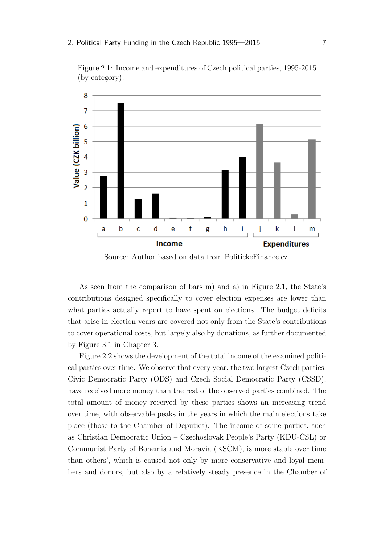

<span id="page-21-0"></span>Figure 2.1: Income and expenditures of Czech political parties, 1995-2015 (by category).

Source: Author based on data from PolitickeFinance.cz.

As seen from the comparison of bars m) and a) in [Figure 2.1,](#page-21-0) the State's contributions designed specifically to cover election expenses are lower than what parties actually report to have spent on elections. The budget deficits that arise in election years are covered not only from the State's contributions to cover operational costs, but largely also by donations, as further documented by [Figure 3.1](#page-49-0) in [Chapter 3.](#page-33-0)

[Figure 2.2](#page-22-0) shows the development of the total income of the examined political parties over time. We observe that every year, the two largest Czech parties, Civic Democratic Party [\(ODS\)](#page-10-1) and Czech Social Democratic Party [\(CSSD](#page-10-2)), have received more money than the rest of the observed parties combined. The total amount of money received by these parties shows an increasing trend over time, with observable peaks in the years in which the main elections take place (those to the Chamber of Deputies). The income of some parties, such as Christian Democratic Union – Czechoslovak People's Party (KDU-ČSL) or Communist Party of Bohemia and Moravia (KSCM), is more stable over time than others', which is caused not only by more conservative and loyal members and donors, but also by a relatively steady presence in the Chamber of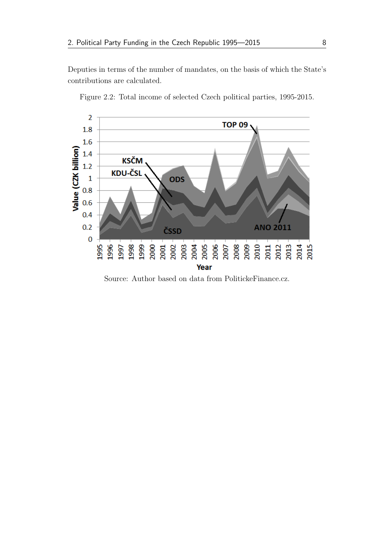Deputies in terms of the number of mandates, on the basis of which the State's contributions are calculated.



<span id="page-22-0"></span>Figure 2.2: Total income of selected Czech political parties, 1995-2015.

Source: Author based on data from PolitickeFinance.cz.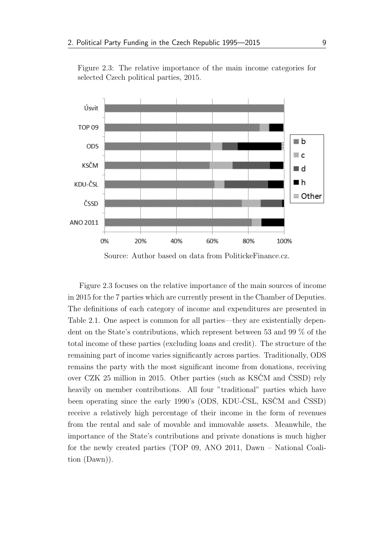<span id="page-23-0"></span>Figure 2.3: The relative importance of the main income categories for selected Czech political parties, 2015.



Source: Author based on data from PolitickeFinance.cz.

[Figure 2.3](#page-23-0) focuses on the relative importance of the main sources of income in 2015 for the 7 parties which are currently present in the Chamber of Deputies. The definitions of each category of income and expenditures are presented in [Table 2.1.](#page-20-0) One aspect is common for all parties—they are existentially dependent on the State's contributions, which represent between 53 and 99 % of the total income of these parties (excluding loans and credit). The structure of the remaining part of income varies significantly across parties. Traditionally, [ODS](#page-10-1) remains the party with the most significant income from donations, receiving over CZK 25 million in 2015. Other parties (such as KSCM and [CSSD](#page-10-2)) rely heavily on member contributions. All four "traditional" parties which have been operating since the early 1990's [\(ODS,](#page-10-1) [KDU-CSL](#page-10-3), KSCM and [CSSD](#page-10-2)) receive a relatively high percentage of their income in the form of revenues from the rental and sale of movable and immovable assets. Meanwhile, the importance of the State's contributions and private donations is much higher for the newly created parties (TOP 09, ANO 2011, Dawn – National Coalition [\(Dawn\)](#page-10-5)).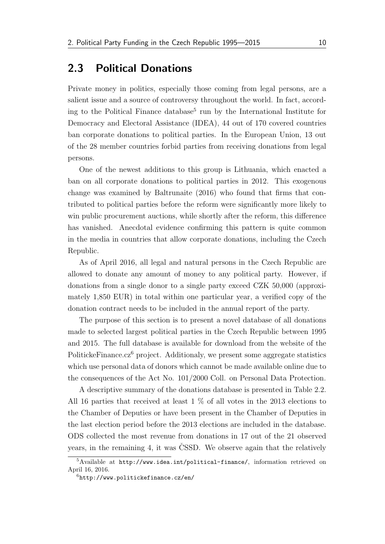## <span id="page-24-0"></span>2.3 Political Donations

Private money in politics, especially those coming from legal persons, are a salient issue and a source of controversy throughout the world. In fact, accord-ing to the Political Finance database<sup>[5](#page-24-1)</sup> run by the International Institute for Democracy and Electoral Assistance (IDEA), 44 out of 170 covered countries ban corporate donations to political parties. In the European Union, 13 out of the 28 member countries forbid parties from receiving donations from legal persons.

One of the newest additions to this group is Lithuania, which enacted a ban on all corporate donations to political parties in 2012. This exogenous change was examined by [Baltrunaite](#page-62-1) [\(2016\)](#page-62-1) who found that firms that contributed to political parties before the reform were significantly more likely to win public procurement auctions, while shortly after the reform, this difference has vanished. Anecdotal evidence confirming this pattern is quite common in the media in countries that allow corporate donations, including the Czech Republic.

As of April 2016, all legal and natural persons in the Czech Republic are allowed to donate any amount of money to any political party. However, if donations from a single donor to a single party exceed CZK 50,000 (approximately 1,850 EUR) in total within one particular year, a verified copy of the donation contract needs to be included in the annual report of the party.

The purpose of this section is to present a novel database of all donations made to selected largest political parties in the Czech Republic between 1995 and 2015. The full database is available for download from the website of the PolitickeFinance.cz<sup>[6](#page-24-2)</sup> project. Additionaly, we present some aggregate statistics which use personal data of donors which cannot be made available online due to the consequences of the Act No. 101/2000 Coll. on Personal Data Protection.

A descriptive summary of the donations database is presented in [Table 2.2.](#page-25-0) All 16 parties that received at least 1 % of all votes in the 2013 elections to the Chamber of Deputies or have been present in the Chamber of Deputies in the last election period before the 2013 elections are included in the database. [ODS](#page-10-1) collected the most revenue from donations in 17 out of the 21 observed years, in the remaining 4, it was [CSSD](#page-10-2). We observe again that the relatively

<span id="page-24-1"></span> $5A$ vailable at <http://www.idea.int/political-finance/>, information retrieved on April 16, 2016.

<span id="page-24-2"></span> $6$ <http://www.politickefinance.cz/en/>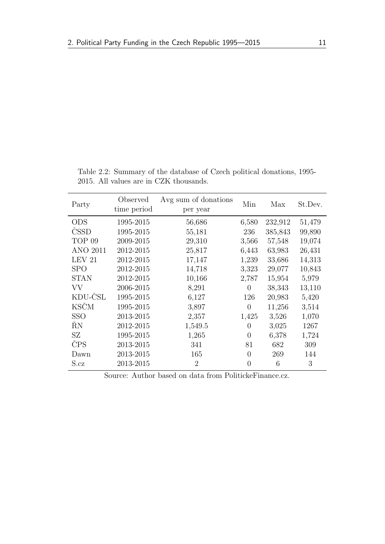| Party             | Observed<br>time period | Avg sum of donations<br>per year | Min            | Max     | St.Dev. |
|-------------------|-------------------------|----------------------------------|----------------|---------|---------|
| <b>ODS</b>        | 1995-2015               | 56,686                           | 6,580          | 232,912 | 51,479  |
| <b>CSSD</b>       | 1995-2015               | 55,181                           | 236            | 385,843 | 99,890  |
| TOP <sub>09</sub> | 2009-2015               | 29,310                           | 3,566          | 57,548  | 19,074  |
| <b>ANO 2011</b>   | 2012-2015               | 25,817                           | 6,443          | 63,983  | 26,431  |
| LEV <sub>21</sub> | 2012-2015               | 17,147                           | 1,239          | 33,686  | 14,313  |
| <b>SPO</b>        | 2012-2015               | 14,718                           | 3,323          | 29,077  | 10,843  |
| <b>STAN</b>       | 2012-2015               | 10,166                           | 2,787          | 15,954  | 5,979   |
| <b>VV</b>         | 2006-2015               | 8,291                            | 0              | 38,343  | 13,110  |
| KDU-ČSL           | 1995-2015               | 6,127                            | 126            | 20,983  | 5,420   |
| <b>KSČM</b>       | 1995-2015               | 3,897                            | $\overline{0}$ | 11,256  | 3,514   |
| <b>SSO</b>        | 2013-2015               | 2,357                            | 1,425          | 3,526   | 1,070   |
| ŔΝ                | 2012-2015               | 1,549.5                          | $\theta$       | 3,025   | 1267    |
| SZ                | 1995-2015               | 1,265                            | $\theta$       | 6,378   | 1,724   |
| ČPS               | 2013-2015               | 341                              | 81             | 682     | 309     |
| Dawn              | 2013-2015               | 165                              | $\theta$       | 269     | 144     |
| S.cz              | 2013-2015               | 2                                | $\Omega$       | 6       | 3       |

<span id="page-25-0"></span>Table 2.2: Summary of the database of Czech political donations, 1995- 2015. All values are in CZK thousands.

Source: Author based on data from PolitickeFinance.cz.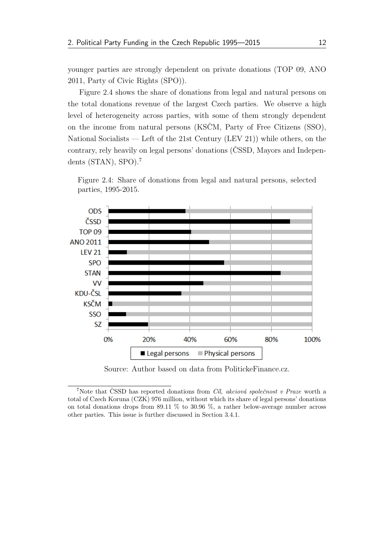younger parties are strongly dependent on private donations (TOP 09, ANO 2011, Party of Civic Rights [\(SPO\)](#page-10-7)).

[Figure 2.4](#page-26-0) shows the share of donations from legal and natural persons on the total donations revenue of the largest Czech parties. We observe a high level of heterogeneity across parties, with some of them strongly dependent on the income from natural persons (KSCM, Party of Free Citizens [\(SSO\)](#page-10-10), National Socialists — Left of the 21st Century [\(LEV 21\)](#page-10-6)) while others, on the contrary, rely heavily on legal persons' donations [\(CSSD](#page-10-2), Mayors and Independents [\(STAN\)](#page-10-8), [SPO\)](#page-10-7).[7](#page-26-1)

<span id="page-26-0"></span>Figure 2.4: Share of donations from legal and natural persons, selected parties, 1995-2015.



Source: Author based on data from PolitickeFinance.cz.

<span id="page-26-1"></span><sup>&</sup>lt;sup>7</sup>Note that [CSSD](#page-10-2) has reported donations from *Cil*, akciová společnost v Praze worth a total of Czech Koruna [\(CZK\)](#page-10-15) 976 million, without which its share of legal persons' donations on total donations drops from 89.11 % to 30.96 %, a rather below-average number across other parties. This issue is further discussed in [Section 3.4.1.](#page-47-1)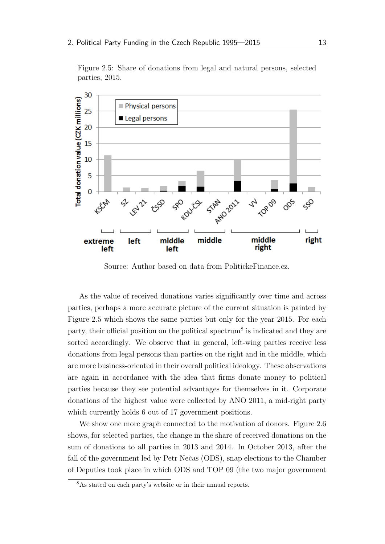<span id="page-27-0"></span>Figure 2.5: Share of donations from legal and natural persons, selected parties, 2015.



Source: Author based on data from PolitickeFinance.cz.

As the value of received donations varies significantly over time and across parties, perhaps a more accurate picture of the current situation is painted by [Figure 2.5](#page-27-0) which shows the same parties but only for the year 2015. For each party, their official position on the political spectrum<sup>[8](#page-27-1)</sup> is indicated and they are sorted accordingly. We observe that in general, left-wing parties receive less donations from legal persons than parties on the right and in the middle, which are more business-oriented in their overall political ideology. These observations are again in accordance with the idea that firms donate money to political parties because they see potential advantages for themselves in it. Corporate donations of the highest value were collected by ANO 2011, a mid-right party which currently holds 6 out of 17 government positions.

We show one more graph connected to the motivation of donors. [Figure 2.6](#page-28-0) shows, for selected parties, the change in the share of received donations on the sum of donations to all parties in 2013 and 2014. In October 2013, after the fall of the government led by Petr Neˇcas [\(ODS\)](#page-10-1), snap elections to the Chamber of Deputies took place in which [ODS](#page-10-1) and TOP 09 (the two major government

<span id="page-27-1"></span><sup>8</sup>As stated on each party's website or in their annual reports.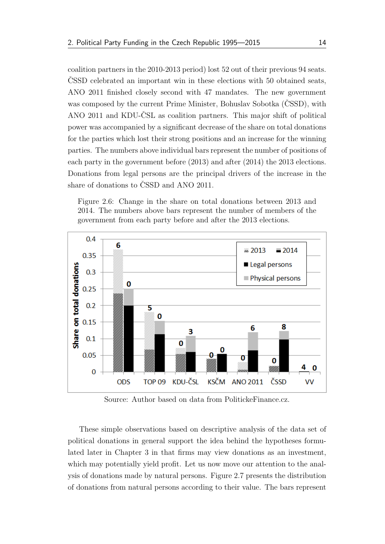coalition partners in the 2010-2013 period) lost 52 out of their previous 94 seats. [CSSD](#page-10-2) celebrated an important win in these elections with 50 obtained seats, ANO 2011 finished closely second with 47 mandates. The new government was composed by the current Prime Minister, Bohuslav Sobotka [\(CSSD](#page-10-2)), with ANO 2011 and [KDU-CSL](#page-10-3) as coalition partners. This major shift of political power was accompanied by a significant decrease of the share on total donations for the parties which lost their strong positions and an increase for the winning parties. The numbers above individual bars represent the number of positions of each party in the government before (2013) and after (2014) the 2013 elections. Donations from legal persons are the principal drivers of the increase in the share of donations to [CSSD](#page-10-2) and ANO 2011.

<span id="page-28-0"></span>



Source: Author based on data from PolitickeFinance.cz.

These simple observations based on descriptive analysis of the data set of political donations in general support the idea behind the hypotheses formulated later in [Chapter 3](#page-33-0) in that firms may view donations as an investment, which may potentially yield profit. Let us now move our attention to the analysis of donations made by natural persons. [Figure 2.7](#page-29-0) presents the distribution of donations from natural persons according to their value. The bars represent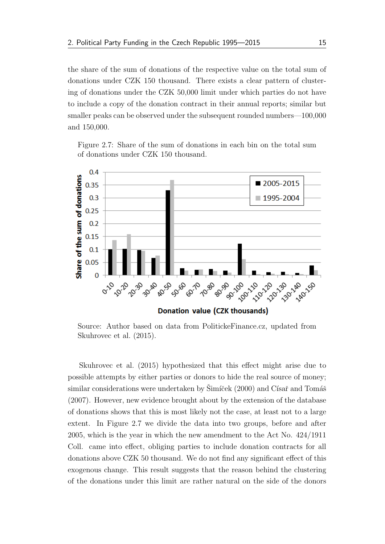the share of the sum of donations of the respective value on the total sum of donations under [CZK](#page-10-15) 150 thousand. There exists a clear pattern of clustering of donations under the [CZK](#page-10-15) 50,000 limit under which parties do not have to include a copy of the donation contract in their annual reports; similar but smaller peaks can be observed under the subsequent rounded numbers—100,000 and 150,000.

<span id="page-29-0"></span>Figure 2.7: Share of the sum of donations in each bin on the total sum of donations under CZK 150 thousand.



Source: Author based on data from PolitickeFinance.cz, updated from [Skuhrovec et al.](#page-66-1) [\(2015\)](#page-66-1).

[Skuhrovec et al.](#page-66-1) [\(2015\)](#page-66-1) hypothesized that this effect might arise due to possible attempts by either parties or donors to hide the real source of money; similar considerations were undertaken by  $\text{Simi\text{'cek}}$  [\(2000\)](#page-66-4) and Císař and Tomáš [\(2007\)](#page-63-3). However, new evidence brought about by the extension of the database of donations shows that this is most likely not the case, at least not to a large extent. In [Figure 2.7](#page-29-0) we divide the data into two groups, before and after 2005, which is the year in which the new amendment to the Act No. 424/1911 Coll. came into effect, obliging parties to include donation contracts for all donations above [CZK](#page-10-15) 50 thousand. We do not find any significant effect of this exogenous change. This result suggests that the reason behind the clustering of the donations under this limit are rather natural on the side of the donors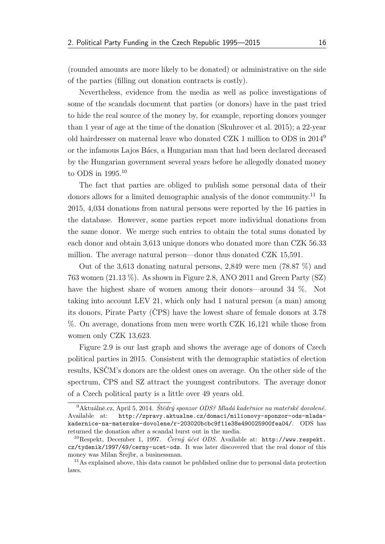(rounded amounts are more likely to be donated) or administrative on the side of the parties (filling out donation contracts is costly).

Nevertheless, evidence from the media as well as police investigations of some of the scandals document that parties (or donors) have in the past tried to hide the real source of the money by, for example, reporting donors younger than 1 year of age at the time of the donation [\(Skuhrovec et al.](#page-66-1) [2015\)](#page-66-1); a 22-year old hairdresser on maternal leave who donated CZK 1 million to [ODS](#page-10-1) in 2014[9](#page-30-0) or the infamous Lajos B´acs, a Hungarian man that had been declared deceased by the Hungarian government several years before he allegedly donated money to [ODS](#page-10-1) in 1995.[10](#page-30-1)

The fact that parties are obliged to publish some personal data of their donors allows for a limited demographic analysis of the donor community.<sup>[11](#page-30-2)</sup> In 2015, 4,034 donations from natural persons were reported by the 16 parties in the database. However, some parties report more individual donations from the same donor. We merge such entries to obtain the total sums donated by each donor and obtain 3,613 unique donors who donated more than [CZK](#page-10-15) 56.33 million. The average natural person—donor thus donated [CZK](#page-10-15) 15,591.

Out of the 3,613 donating natural persons, 2,849 were men (78.87 %) and 763 women (21.13 %). As shown in [Figure 2.8,](#page-31-0) ANO 2011 and Green Party [\(SZ\)](#page-10-12) have the highest share of women among their donors—around 34 %. Not taking into account [LEV 21,](#page-10-6) which only had 1 natural person (a man) among its donors, Pirate Party [\(CPS](#page-10-13)) have the lowest share of female donors at  $3.78$ %. On average, donations from men were worth CZK 16,121 while those from women only CZK 13,623.

[Figure 2.9](#page-31-1) is our last graph and shows the average age of donors of Czech political parties in 2015. Consistent with the demographic statistics of election results, [KSCMˇ](#page-10-4) 's donors are the oldest ones on average. On the other side of the spectrum, [CPS](#page-10-13) and [SZ](#page-10-12) attract the youngest contributors. The average donor of a Czech political party is a little over 49 years old.

<span id="page-30-0"></span> $9Aktuálně. cz, April 5, 2014. Štědrý sponsor ODS? Mladá kadeřnice na mateřské dovolené.$ Available at: [http://zpravy.aktualne.cz/domaci/milionovy-sponzor-ods-mlada](http://zpravy.aktualne.cz/domaci/milionovy-sponzor-ods-mlada-kadernice-na-materske-dovolene/r~203020bcbc9f11e38e490025900fea04/)[kadernice-na-materske-dovolene/r~203020bcbc9f11e38e490025900fea04/](http://zpravy.aktualne.cz/domaci/milionovy-sponzor-ods-mlada-kadernice-na-materske-dovolene/r~203020bcbc9f11e38e490025900fea04/). [ODS](#page-10-1) has returned the donation after a scandal burst out in the media.

<span id="page-30-1"></span><sup>&</sup>lt;sup>10</sup>Respekt, December 1, 1997. *Černý účet ODS*. Available at: [http://www.respekt.](http://www.respekt.cz/tydenik/1997/49/cerny-ucet-ods) [cz/tydenik/1997/49/cerny-ucet-ods](http://www.respekt.cz/tydenik/1997/49/cerny-ucet-ods). It was later discovered that the real donor of this money was Milan Šrejbr, a businessman.

<span id="page-30-2"></span><sup>&</sup>lt;sup>11</sup>As explained above, this data cannot be published online due to personal data protection laws.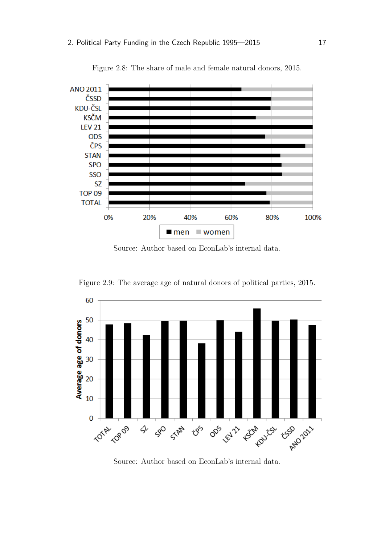<span id="page-31-0"></span>

Figure 2.8: The share of male and female natural donors, 2015.

Source: Author based on EconLab's internal data.



<span id="page-31-1"></span>Figure 2.9: The average age of natural donors of political parties, 2015.

Source: Author based on EconLab's internal data.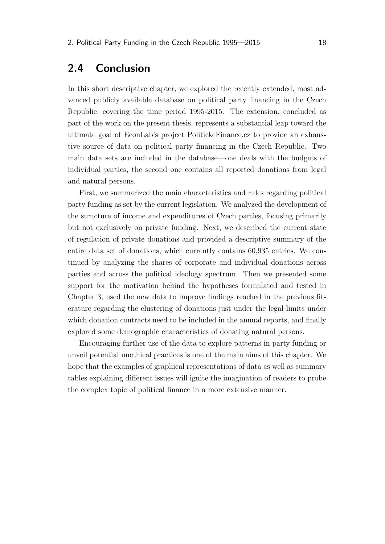## <span id="page-32-0"></span>2.4 Conclusion

In this short descriptive chapter, we explored the recently extended, most advanced publicly available database on political party financing in the Czech Republic, covering the time period 1995-2015. The extension, concluded as part of the work on the present thesis, represents a substantial leap toward the ultimate goal of EconLab's project PolitickeFinance.cz to provide an exhaustive source of data on political party financing in the Czech Republic. Two main data sets are included in the database—one deals with the budgets of individual parties, the second one contains all reported donations from legal and natural persons.

First, we summarized the main characteristics and rules regarding political party funding as set by the current legislation. We analyzed the development of the structure of income and expenditures of Czech parties, focusing primarily but not exclusively on private funding. Next, we described the current state of regulation of private donations and provided a descriptive summary of the entire data set of donations, which currently contains 60,935 entries. We continued by analyzing the shares of corporate and individual donations across parties and across the political ideology spectrum. Then we presented some support for the motivation behind the hypotheses formulated and tested in [Chapter 3,](#page-33-0) used the new data to improve findings reached in the previous literature regarding the clustering of donations just under the legal limits under which donation contracts need to be included in the annual reports, and finally explored some demographic characteristics of donating natural persons.

Encouraging further use of the data to explore patterns in party funding or unveil potential unethical practices is one of the main aims of this chapter. We hope that the examples of graphical representations of data as well as summary tables explaining different issues will ignite the imagination of readers to probe the complex topic of political finance in a more extensive manner.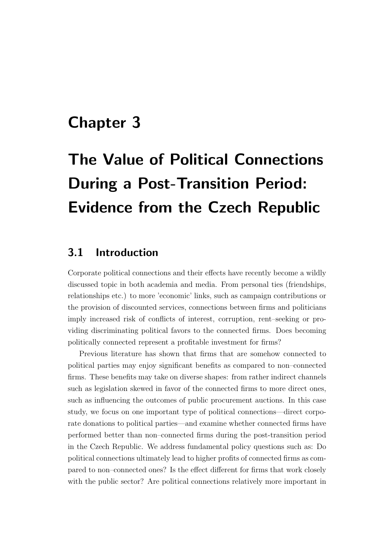# <span id="page-33-0"></span>Chapter 3

# The Value of Political Connections During a Post-Transition Period: Evidence from the Czech Republic

## <span id="page-33-1"></span>3.1 Introduction

Corporate political connections and their effects have recently become a wildly discussed topic in both academia and media. From personal ties (friendships, relationships etc.) to more 'economic' links, such as campaign contributions or the provision of discounted services, connections between firms and politicians imply increased risk of conflicts of interest, corruption, rent–seeking or providing discriminating political favors to the connected firms. Does becoming politically connected represent a profitable investment for firms?

Previous literature has shown that firms that are somehow connected to political parties may enjoy significant benefits as compared to non–connected firms. These benefits may take on diverse shapes: from rather indirect channels such as legislation skewed in favor of the connected firms to more direct ones, such as influencing the outcomes of public procurement auctions. In this case study, we focus on one important type of political connections—direct corporate donations to political parties—and examine whether connected firms have performed better than non–connected firms during the post-transition period in the Czech Republic. We address fundamental policy questions such as: Do political connections ultimately lead to higher profits of connected firms as compared to non–connected ones? Is the effect different for firms that work closely with the public sector? Are political connections relatively more important in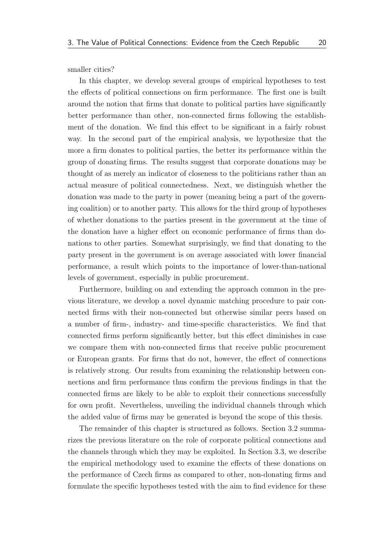smaller cities?

In this chapter, we develop several groups of empirical hypotheses to test the effects of political connections on firm performance. The first one is built around the notion that firms that donate to political parties have significantly better performance than other, non-connected firms following the establishment of the donation. We find this effect to be significant in a fairly robust way. In the second part of the empirical analysis, we hypothesize that the more a firm donates to political parties, the better its performance within the group of donating firms. The results suggest that corporate donations may be thought of as merely an indicator of closeness to the politicians rather than an actual measure of political connectedness. Next, we distinguish whether the donation was made to the party in power (meaning being a part of the governing coalition) or to another party. This allows for the third group of hypotheses of whether donations to the parties present in the government at the time of the donation have a higher effect on economic performance of firms than donations to other parties. Somewhat surprisingly, we find that donating to the party present in the government is on average associated with lower financial performance, a result which points to the importance of lower-than-national levels of government, especially in public procurement.

Furthermore, building on and extending the approach common in the previous literature, we develop a novel dynamic matching procedure to pair connected firms with their non-connected but otherwise similar peers based on a number of firm-, industry- and time-specific characteristics. We find that connected firms perform significantly better, but this effect diminishes in case we compare them with non-connected firms that receive public procurement or European grants. For firms that do not, however, the effect of connections is relatively strong. Our results from examining the relationship between connections and firm performance thus confirm the previous findings in that the connected firms are likely to be able to exploit their connections successfully for own profit. Nevertheless, unveiling the individual channels through which the added value of firms may be generated is beyond the scope of this thesis.

The remainder of this chapter is structured as follows. [Section 3.2](#page-35-0) summarizes the previous literature on the role of corporate political connections and the channels through which they may be exploited. In [Section 3.3,](#page-41-0) we describe the empirical methodology used to examine the effects of these donations on the performance of Czech firms as compared to other, non-donating firms and formulate the specific hypotheses tested with the aim to find evidence for these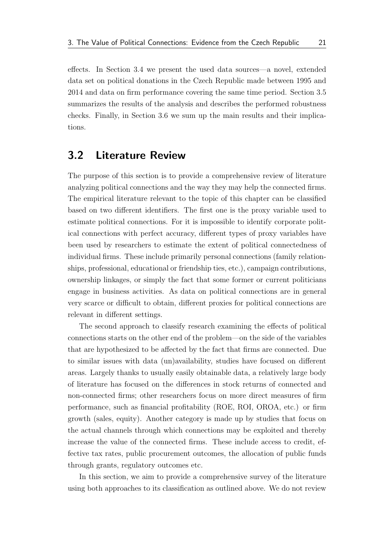effects. In [Section 3.4](#page-47-0) we present the used data sources—a novel, extended data set on political donations in the Czech Republic made between 1995 and 2014 and data on firm performance covering the same time period. [Section 3.5](#page-52-0) summarizes the results of the analysis and describes the performed robustness checks. Finally, in [Section 3.6](#page-59-0) we sum up the main results and their implications.

### <span id="page-35-0"></span>3.2 Literature Review

The purpose of this section is to provide a comprehensive review of literature analyzing political connections and the way they may help the connected firms. The empirical literature relevant to the topic of this chapter can be classified based on two different identifiers. The first one is the proxy variable used to estimate political connections. For it is impossible to identify corporate political connections with perfect accuracy, different types of proxy variables have been used by researchers to estimate the extent of political connectedness of individual firms. These include primarily personal connections (family relationships, professional, educational or friendship ties, etc.), campaign contributions, ownership linkages, or simply the fact that some former or current politicians engage in business activities. As data on political connections are in general very scarce or difficult to obtain, different proxies for political connections are relevant in different settings.

The second approach to classify research examining the effects of political connections starts on the other end of the problem—on the side of the variables that are hypothesized to be affected by the fact that firms are connected. Due to similar issues with data (un)availability, studies have focused on different areas. Largely thanks to usually easily obtainable data, a relatively large body of literature has focused on the differences in stock returns of connected and non-connected firms; other researchers focus on more direct measures of firm performance, such as financial profitability (ROE, ROI, OROA, etc.) or firm growth (sales, equity). Another category is made up by studies that focus on the actual channels through which connections may be exploited and thereby increase the value of the connected firms. These include access to credit, effective tax rates, public procurement outcomes, the allocation of public funds through grants, regulatory outcomes etc.

In this section, we aim to provide a comprehensive survey of the literature using both approaches to its classification as outlined above. We do not review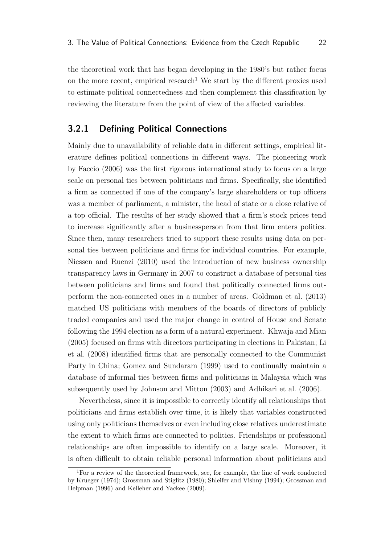the theoretical work that has began developing in the 1980's but rather focus on the more recent, empirical research<sup>[1](#page-36-1)</sup> We start by the different proxies used to estimate political connectedness and then complement this classification by reviewing the literature from the point of view of the affected variables.

### <span id="page-36-0"></span>3.2.1 Defining Political Connections

Mainly due to unavailability of reliable data in different settings, empirical literature defines political connections in different ways. The pioneering work by [Faccio](#page-63-4) [\(2006\)](#page-63-4) was the first rigorous international study to focus on a large scale on personal ties between politicians and firms. Specifically, she identified a firm as connected if one of the company's large shareholders or top officers was a member of parliament, a minister, the head of state or a close relative of a top official. The results of her study showed that a firm's stock prices tend to increase significantly after a businessperson from that firm enters politics. Since then, many researchers tried to support these results using data on personal ties between politicians and firms for individual countries. For example, [Niessen and Ruenzi](#page-65-2) [\(2010\)](#page-65-2) used the introduction of new business–ownership transparency laws in Germany in 2007 to construct a database of personal ties between politicians and firms and found that politically connected firms outperform the non-connected ones in a number of areas. [Goldman et al.](#page-64-0) [\(2013\)](#page-64-0) matched US politicians with members of the boards of directors of publicly traded companies and used the major change in control of House and Senate following the 1994 election as a form of a natural experiment. [Khwaja and Mian](#page-65-0) [\(2005\)](#page-65-0) focused on firms with directors participating in elections in Pakistan; [Li](#page-65-3) [et al.](#page-65-3) [\(2008\)](#page-65-3) identified firms that are personally connected to the Communist Party in China; [Gomez and Sundaram](#page-64-1) [\(1999\)](#page-64-1) used to continually maintain a database of informal ties between firms and politicians in Malaysia which was subsequently used by [Johnson and Mitton](#page-65-4) [\(2003\)](#page-65-4) and [Adhikari et al.](#page-62-2) [\(2006\)](#page-62-2).

Nevertheless, since it is impossible to correctly identify all relationships that politicians and firms establish over time, it is likely that variables constructed using only politicians themselves or even including close relatives underestimate the extent to which firms are connected to politics. Friendships or professional relationships are often impossible to identify on a large scale. Moreover, it is often difficult to obtain reliable personal information about politicians and

<span id="page-36-1"></span><sup>1</sup>For a review of the theoretical framework, see, for example, the line of work conducted by [Krueger](#page-65-5) [\(1974\)](#page-65-5); [Grossman and Stiglitz](#page-65-6) [\(1980\)](#page-65-6); [Shleifer and Vishny](#page-66-5) [\(1994\)](#page-66-5); [Grossman and](#page-64-2) [Helpman](#page-64-2) [\(1996\)](#page-64-2) and [Kelleher and Yackee](#page-65-7) [\(2009\)](#page-65-7).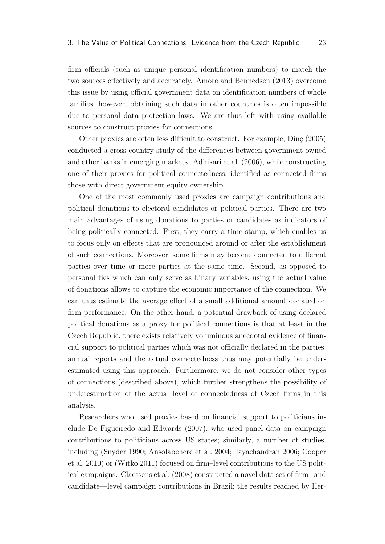firm officials (such as unique personal identification numbers) to match the two sources effectively and accurately. [Amore and Bennedsen](#page-62-0) [\(2013\)](#page-62-0) overcome this issue by using official government data on identification numbers of whole families, however, obtaining such data in other countries is often impossible due to personal data protection laws. We are thus left with using available sources to construct proxies for connections.

Other proxies are often less difficult to construct. For example, Dinc [\(2005\)](#page-63-5) conducted a cross-country study of the differences between government-owned and other banks in emerging markets. [Adhikari et al.](#page-62-2) [\(2006\)](#page-62-2), while constructing one of their proxies for political connectedness, identified as connected firms those with direct government equity ownership.

One of the most commonly used proxies are campaign contributions and political donations to electoral candidates or political parties. There are two main advantages of using donations to parties or candidates as indicators of being politically connected. First, they carry a time stamp, which enables us to focus only on effects that are pronounced around or after the establishment of such connections. Moreover, some firms may become connected to different parties over time or more parties at the same time. Second, as opposed to personal ties which can only serve as binary variables, using the actual value of donations allows to capture the economic importance of the connection. We can thus estimate the average effect of a small additional amount donated on firm performance. On the other hand, a potential drawback of using declared political donations as a proxy for political connections is that at least in the Czech Republic, there exists relatively voluminous anecdotal evidence of financial support to political parties which was not officially declared in the parties' annual reports and the actual connectedness thus may potentially be underestimated using this approach. Furthermore, we do not consider other types of connections (described above), which further strengthens the possibility of underestimation of the actual level of connectedness of Czech firms in this analysis.

Researchers who used proxies based on financial support to politicians include [De Figueiredo and Edwards](#page-63-0) [\(2007\)](#page-63-0), who used panel data on campaign contributions to politicians across US states; similarly, a number of studies, including [\(Snyder](#page-66-6) [1990;](#page-66-6) [Ansolabehere et al.](#page-62-3) [2004;](#page-62-3) [Jayachandran](#page-65-8) [2006;](#page-65-8) [Cooper](#page-63-6) [et al.](#page-63-6) [2010\)](#page-63-6) or [\(Witko](#page-66-7) [2011\)](#page-66-7) focused on firm–level contributions to the US political campaigns. [Claessens et al.](#page-63-7) [\(2008\)](#page-63-7) constructed a novel data set of firm– and candidate—level campaign contributions in Brazil; the results reached by [Her-](#page-65-9)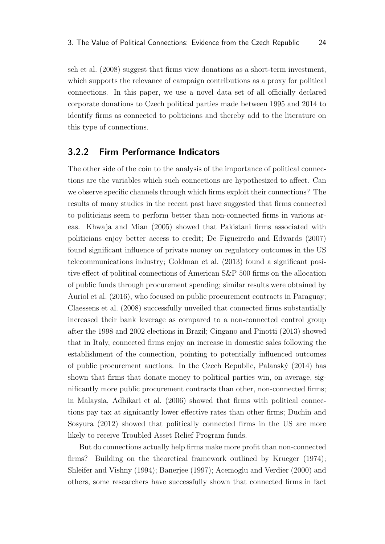[sch et al.](#page-65-9) [\(2008\)](#page-65-9) suggest that firms view donations as a short-term investment, which supports the relevance of campaign contributions as a proxy for political connections. In this paper, we use a novel data set of all officially declared corporate donations to Czech political parties made between 1995 and 2014 to identify firms as connected to politicians and thereby add to the literature on this type of connections.

### <span id="page-38-0"></span>3.2.2 Firm Performance Indicators

The other side of the coin to the analysis of the importance of political connections are the variables which such connections are hypothesized to affect. Can we observe specific channels through which firms exploit their connections? The results of many studies in the recent past have suggested that firms connected to politicians seem to perform better than non-connected firms in various areas. [Khwaja and Mian](#page-65-0) [\(2005\)](#page-65-0) showed that Pakistani firms associated with politicians enjoy better access to credit; [De Figueiredo and Edwards](#page-63-0) [\(2007\)](#page-63-0) found significant influence of private money on regulatory outcomes in the US telecommunications industry; [Goldman et al.](#page-64-0) [\(2013\)](#page-64-0) found a significant positive effect of political connections of American S&P 500 firms on the allocation of public funds through procurement spending; similar results were obtained by [Auriol et al.](#page-62-4) [\(2016\)](#page-62-4), who focused on public procurement contracts in Paraguay; [Claessens et al.](#page-63-7) [\(2008\)](#page-63-7) successfully unveiled that connected firms substantially increased their bank leverage as compared to a non-connected control group after the 1998 and 2002 elections in Brazil; [Cingano and Pinotti](#page-63-1) [\(2013\)](#page-63-1) showed that in Italy, connected firms enjoy an increase in domestic sales following the establishment of the connection, pointing to potentially influenced outcomes of public procurement auctions. In the Czech Republic, Palanský  $(2014)$  has shown that firms that donate money to political parties win, on average, significantly more public procurement contracts than other, non-connected firms; in Malaysia, [Adhikari et al.](#page-62-2) [\(2006\)](#page-62-2) showed that firms with political connections pay tax at signicantly lower effective rates than other firms; [Duchin and](#page-63-8) [Sosyura](#page-63-8) [\(2012\)](#page-63-8) showed that politically connected firms in the US are more likely to receive Troubled Asset Relief Program funds.

But do connections actually help firms make more profit than non-connected firms? Building on the theoretical framework outlined by [Krueger](#page-65-5) [\(1974\)](#page-65-5); [Shleifer and Vishny](#page-66-5) [\(1994\)](#page-66-5); [Banerjee](#page-62-5) [\(1997\)](#page-62-5); [Acemoglu and Verdier](#page-62-6) [\(2000\)](#page-62-6) and others, some researchers have successfully shown that connected firms in fact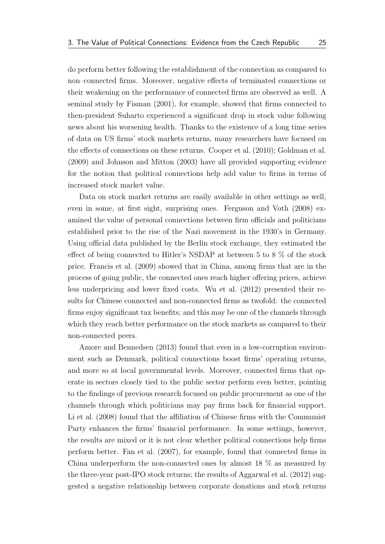do perform better following the establishment of the connection as compared to non–connected firms. Moreover, negative effects of terminated connections or their weakening on the performance of connected firms are observed as well. A seminal study by [Fisman](#page-64-3) [\(2001\)](#page-64-3), for example, showed that firms connected to then-president Suharto experienced a significant drop in stock value following news about his worsening health. Thanks to the existence of a long time series of data on US firms' stock markets returns, many researchers have focused on the effects of connections on these returns. [Cooper et al.](#page-63-6) [\(2010\)](#page-63-6); [Goldman et al.](#page-64-4) [\(2009\)](#page-64-4) and [Johnson and Mitton](#page-65-4) [\(2003\)](#page-65-4) have all provided supporting evidence for the notion that political connections help add value to firms in terms of increased stock market value.

Data on stock market returns are easily available in other settings as well, even in some, at first sight, surprising ones. [Ferguson and Voth](#page-64-5) [\(2008\)](#page-64-5) examined the value of personal connections between firm officials and politicians established prior to the rise of the Nazi movement in the 1930's in Germany. Using official data published by the Berlin stock exchange, they estimated the effect of being connected to Hitler's NSDAP at between 5 to 8 % of the stock price. [Francis et al.](#page-64-6) [\(2009\)](#page-64-6) showed that in China, among firms that are in the process of going public, the connected ones reach higher offering prices, achieve less underpricing and lower fixed costs. [Wu et al.](#page-66-8) [\(2012\)](#page-66-8) presented their results for Chinese connected and non-connected firms as twofold: the connected firms enjoy significant tax benefits; and this may be one of the channels through which they reach better performance on the stock markets as compared to their non-connected peers.

[Amore and Bennedsen](#page-62-0) [\(2013\)](#page-62-0) found that even in a low-corruption environment such as Denmark, political connections boost firms' operating returns, and more so at local governmental levels. Moreover, connected firms that operate in sectors closely tied to the public sector perform even better, pointing to the findings of previous research focused on public procurement as one of the channels through which politicians may pay firms back for financial support. [Li et al.](#page-65-3) [\(2008\)](#page-65-3) found that the affiliation of Chinese firms with the Communist Party enhances the firms' financial performance. In some settings, however, the results are mixed or it is not clear whether political connections help firms perform better. [Fan et al.](#page-64-7) [\(2007\)](#page-64-7), for example, found that connected firms in China underperform the non-connected ones by almost 18 % as measured by the three-year post-IPO stock returns; the results of [Aggarwal et al.](#page-62-7) [\(2012\)](#page-62-7) suggested a negative relationship between corporate donations and stock returns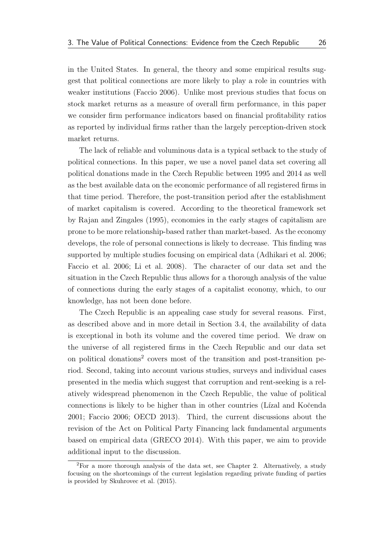in the United States. In general, the theory and some empirical results suggest that political connections are more likely to play a role in countries with weaker institutions [\(Faccio](#page-63-4) [2006\)](#page-63-4). Unlike most previous studies that focus on stock market returns as a measure of overall firm performance, in this paper we consider firm performance indicators based on financial profitability ratios as reported by individual firms rather than the largely perception-driven stock market returns.

The lack of reliable and voluminous data is a typical setback to the study of political connections. In this paper, we use a novel panel data set covering all political donations made in the Czech Republic between 1995 and 2014 as well as the best available data on the economic performance of all registered firms in that time period. Therefore, the post-transition period after the establishment of market capitalism is covered. According to the theoretical framework set by [Rajan and Zingales](#page-66-9) [\(1995\)](#page-66-9), economies in the early stages of capitalism are prone to be more relationship-based rather than market-based. As the economy develops, the role of personal connections is likely to decrease. This finding was supported by multiple studies focusing on empirical data [\(Adhikari et al.](#page-62-2) [2006;](#page-62-2) [Faccio et al.](#page-64-8) [2006;](#page-64-8) [Li et al.](#page-65-3) [2008\)](#page-65-3). The character of our data set and the situation in the Czech Republic thus allows for a thorough analysis of the value of connections during the early stages of a capitalist economy, which, to our knowledge, has not been done before.

The Czech Republic is an appealing case study for several reasons. First, as described above and in more detail in [Section 3.4,](#page-47-0) the availability of data is exceptional in both its volume and the covered time period. We draw on the universe of all registered firms in the Czech Republic and our data set on political donations<sup>[2](#page-40-0)</sup> covers most of the transition and post-transition period. Second, taking into account various studies, surveys and individual cases presented in the media which suggest that corruption and rent-seeking is a relatively widespread phenomenon in the Czech Republic, the value of political connections is likely to be higher than in other countries (Lízal and Kočenda [2001;](#page-65-10) [Faccio](#page-63-4) [2006;](#page-63-4) [OECD](#page-65-11) [2013\)](#page-65-11). Third, the current discussions about the revision of the Act on Political Party Financing lack fundamental arguments based on empirical data [\(GRECO](#page-64-9) [2014\)](#page-64-9). With this paper, we aim to provide additional input to the discussion.

<span id="page-40-0"></span><sup>2</sup>For a more thorough analysis of the data set, see [Chapter 2.](#page-17-0) Alternatively, a study focusing on the shortcomings of the current legislation regarding private funding of parties is provided by [Skuhrovec et al.](#page-66-1) [\(2015\)](#page-66-1).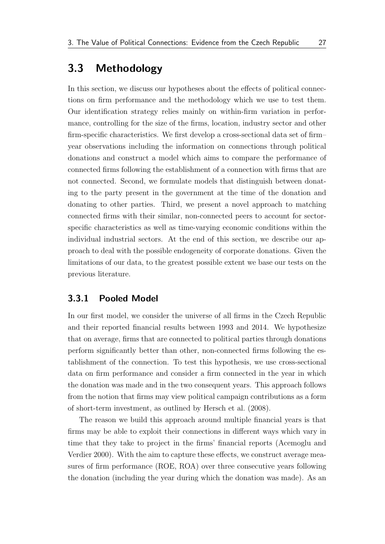# <span id="page-41-0"></span>3.3 Methodology

In this section, we discuss our hypotheses about the effects of political connections on firm performance and the methodology which we use to test them. Our identification strategy relies mainly on within-firm variation in performance, controlling for the size of the firms, location, industry sector and other firm-specific characteristics. We first develop a cross-sectional data set of firm– year observations including the information on connections through political donations and construct a model which aims to compare the performance of connected firms following the establishment of a connection with firms that are not connected. Second, we formulate models that distinguish between donating to the party present in the government at the time of the donation and donating to other parties. Third, we present a novel approach to matching connected firms with their similar, non-connected peers to account for sectorspecific characteristics as well as time-varying economic conditions within the individual industrial sectors. At the end of this section, we describe our approach to deal with the possible endogeneity of corporate donations. Given the limitations of our data, to the greatest possible extent we base our tests on the previous literature.

#### <span id="page-41-1"></span>3.3.1 Pooled Model

In our first model, we consider the universe of all firms in the Czech Republic and their reported financial results between 1993 and 2014. We hypothesize that on average, firms that are connected to political parties through donations perform significantly better than other, non-connected firms following the establishment of the connection. To test this hypothesis, we use cross-sectional data on firm performance and consider a firm connected in the year in which the donation was made and in the two consequent years. This approach follows from the notion that firms may view political campaign contributions as a form of short-term investment, as outlined by [Hersch et al.](#page-65-9) [\(2008\)](#page-65-9).

The reason we build this approach around multiple financial years is that firms may be able to exploit their connections in different ways which vary in time that they take to project in the firms' financial reports [\(Acemoglu and](#page-62-6) [Verdier](#page-62-6) [2000\)](#page-62-6). With the aim to capture these effects, we construct average measures of firm performance (ROE, ROA) over three consecutive years following the donation (including the year during which the donation was made). As an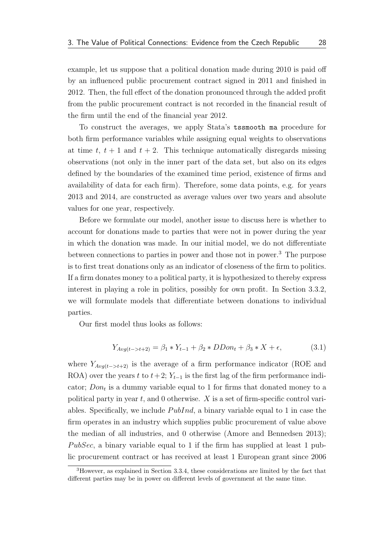example, let us suppose that a political donation made during 2010 is paid off by an influenced public procurement contract signed in 2011 and finished in 2012. Then, the full effect of the donation pronounced through the added profit from the public procurement contract is not recorded in the financial result of the firm until the end of the financial year 2012.

To construct the averages, we apply Stata's tssmooth ma procedure for both firm performance variables while assigning equal weights to observations at time t,  $t + 1$  and  $t + 2$ . This technique automatically disregards missing observations (not only in the inner part of the data set, but also on its edges defined by the boundaries of the examined time period, existence of firms and availability of data for each firm). Therefore, some data points, e.g. for years 2013 and 2014, are constructed as average values over two years and absolute values for one year, respectively.

Before we formulate our model, another issue to discuss here is whether to account for donations made to parties that were not in power during the year in which the donation was made. In our initial model, we do not differentiate between connections to parties in power and those not in power.[3](#page-42-0) The purpose is to first treat donations only as an indicator of closeness of the firm to politics. If a firm donates money to a political party, it is hypothesized to thereby express interest in playing a role in politics, possibly for own profit. In [Section 3.3.2,](#page-43-0) we will formulate models that differentiate between donations to individual parties.

Our first model thus looks as follows:

<span id="page-42-1"></span>
$$
Y_{Avg(t->t+2)} = \beta_1 * Y_{t-1} + \beta_2 * DDon_t + \beta_3 * X + \epsilon,
$$
\n(3.1)

where  $Y_{Avq(t->t+2)}$  is the average of a firm performance indicator (ROE and ROA) over the years t to  $t+2$ ;  $Y_{t-1}$  is the first lag of the firm performance indicator;  $Don_t$  is a dummy variable equal to 1 for firms that donated money to a political party in year  $t$ , and 0 otherwise.  $X$  is a set of firm-specific control variables. Specifically, we include  $PubInd$ , a binary variable equal to 1 in case the firm operates in an industry which supplies public procurement of value above the median of all industries, and 0 otherwise [\(Amore and Bennedsen](#page-62-0) [2013\)](#page-62-0); PubSec, a binary variable equal to 1 if the firm has supplied at least 1 public procurement contract or has received at least 1 European grant since 2006

<span id="page-42-0"></span><sup>3</sup>However, as explained in [Section 3.3.4,](#page-46-0) these considerations are limited by the fact that different parties may be in power on different levels of government at the same time.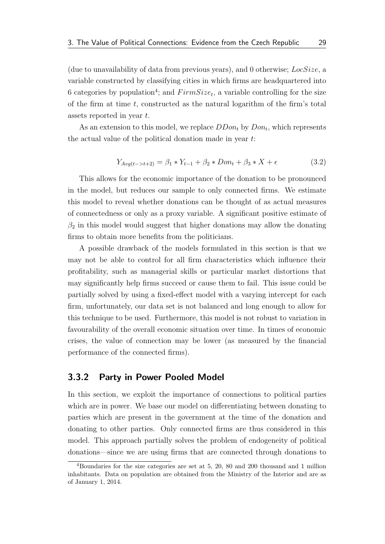(due to unavailability of data from previous years), and 0 otherwise; LocSize, a variable constructed by classifying cities in which firms are headquartered into 6 categories by population<sup>[4](#page-43-1)</sup>; and  $FirmSize_t$ , a variable controlling for the size of the firm at time  $t$ , constructed as the natural logarithm of the firm's total assets reported in year t.

As an extension to this model, we replace  $DDon_t$  by  $Don_t$ , which represents the actual value of the political donation made in year t:

<span id="page-43-2"></span>
$$
Y_{Avg(t->t+2)} = \beta_1 * Y_{t-1} + \beta_2 * Don_t + \beta_3 * X + \epsilon
$$
\n(3.2)

This allows for the economic importance of the donation to be pronounced in the model, but reduces our sample to only connected firms. We estimate this model to reveal whether donations can be thought of as actual measures of connectedness or only as a proxy variable. A significant positive estimate of  $\beta_2$  in this model would suggest that higher donations may allow the donating firms to obtain more benefits from the politicians.

A possible drawback of the models formulated in this section is that we may not be able to control for all firm characteristics which influence their profitability, such as managerial skills or particular market distortions that may significantly help firms succeed or cause them to fail. This issue could be partially solved by using a fixed-effect model with a varying intercept for each firm, unfortunately, our data set is not balanced and long enough to allow for this technique to be used. Furthermore, this model is not robust to variation in favourability of the overall economic situation over time. In times of economic crises, the value of connection may be lower (as measured by the financial performance of the connected firms).

### <span id="page-43-0"></span>3.3.2 Party in Power Pooled Model

In this section, we exploit the importance of connections to political parties which are in power. We base our model on differentiating between donating to parties which are present in the government at the time of the donation and donating to other parties. Only connected firms are thus considered in this model. This approach partially solves the problem of endogeneity of political donations—since we are using firms that are connected through donations to

<span id="page-43-1"></span><sup>4</sup>Boundaries for the size categories are set at 5, 20, 80 and 200 thousand and 1 million inhabitants. Data on population are obtained from the Ministry of the Interior and are as of January 1, 2014.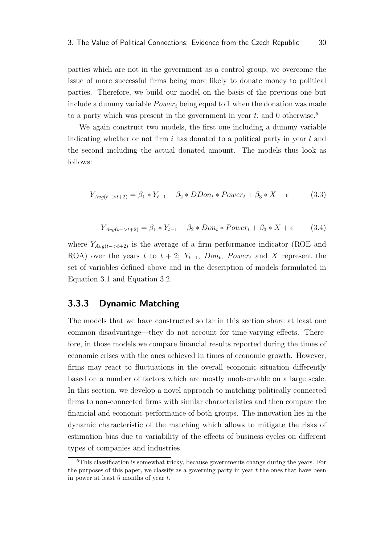parties which are not in the government as a control group, we overcome the issue of more successful firms being more likely to donate money to political parties. Therefore, we build our model on the basis of the previous one but include a dummy variable  $Power<sub>t</sub>$  being equal to 1 when the donation was made to a party which was present in the government in year t; and 0 otherwise.<sup>[5](#page-44-1)</sup>

We again construct two models, the first one including a dummy variable indicating whether or not firm  $i$  has donated to a political party in year  $t$  and the second including the actual donated amount. The models thus look as follows:

$$
Y_{Avg(t->t+2)} = \beta_1 * Y_{t-1} + \beta_2 * DDon_t * Power_t + \beta_3 * X + \epsilon
$$
 (3.3)

$$
Y_{Avg(t->t+2)} = \beta_1 * Y_{t-1} + \beta_2 * Don_t * Power_t + \beta_3 * X + \epsilon \tag{3.4}
$$

where  $Y_{Avq(t->t+2)}$  is the average of a firm performance indicator (ROE and ROA) over the years t to  $t + 2$ ;  $Y_{t-1}$ ,  $Don_t$ ,  $Power_t$  and X represent the set of variables defined above and in the description of models formulated in [Equation 3.1](#page-42-1) and [Equation 3.2.](#page-43-2)

### <span id="page-44-0"></span>3.3.3 Dynamic Matching

The models that we have constructed so far in this section share at least one common disadvantage—they do not account for time-varying effects. Therefore, in those models we compare financial results reported during the times of economic crises with the ones achieved in times of economic growth. However, firms may react to fluctuations in the overall economic situation differently based on a number of factors which are mostly unobservable on a large scale. In this section, we develop a novel approach to matching politically connected firms to non-connected firms with similar characteristics and then compare the financial and economic performance of both groups. The innovation lies in the dynamic characteristic of the matching which allows to mitigate the risks of estimation bias due to variability of the effects of business cycles on different types of companies and industries.

<span id="page-44-1"></span><sup>&</sup>lt;sup>5</sup>This classification is somewhat tricky, because governments change during the years. For the purposes of this paper, we classify as a governing party in year  $t$  the ones that have been in power at least 5 months of year t.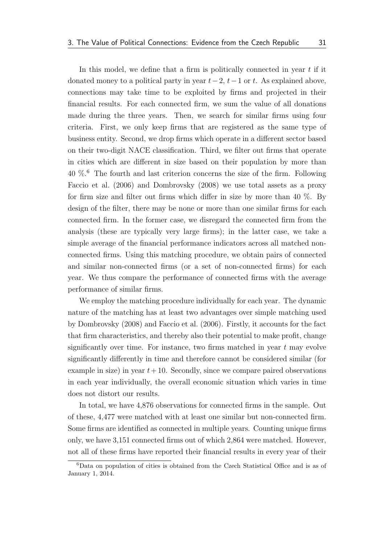In this model, we define that a firm is politically connected in year  $t$  if it donated money to a political party in year  $t-2$ ,  $t-1$  or t. As explained above, connections may take time to be exploited by firms and projected in their financial results. For each connected firm, we sum the value of all donations made during the three years. Then, we search for similar firms using four criteria. First, we only keep firms that are registered as the same type of business entity. Second, we drop firms which operate in a different sector based on their two-digit NACE classification. Third, we filter out firms that operate in cities which are different in size based on their population by more than  $40\%$ <sup>[6](#page-45-0)</sup>. The fourth and last criterion concerns the size of the firm. Following [Faccio et al.](#page-64-8) [\(2006\)](#page-64-8) and [Dombrovsky](#page-63-2) [\(2008\)](#page-63-2) we use total assets as a proxy for firm size and filter out firms which differ in size by more than 40  $\%$ . By design of the filter, there may be none or more than one similar firms for each connected firm. In the former case, we disregard the connected firm from the analysis (these are typically very large firms); in the latter case, we take a simple average of the financial performance indicators across all matched nonconnected firms. Using this matching procedure, we obtain pairs of connected and similar non-connected firms (or a set of non-connected firms) for each year. We thus compare the performance of connected firms with the average performance of similar firms.

We employ the matching procedure individually for each year. The dynamic nature of the matching has at least two advantages over simple matching used by [Dombrovsky](#page-63-2) [\(2008\)](#page-63-2) and [Faccio et al.](#page-64-8) [\(2006\)](#page-64-8). Firstly, it accounts for the fact that firm characteristics, and thereby also their potential to make profit, change significantly over time. For instance, two firms matched in year  $t$  may evolve significantly differently in time and therefore cannot be considered similar (for example in size) in year  $t+10$ . Secondly, since we compare paired observations in each year individually, the overall economic situation which varies in time does not distort our results.

In total, we have 4,876 observations for connected firms in the sample. Out of these, 4,477 were matched with at least one similar but non-connected firm. Some firms are identified as connected in multiple years. Counting unique firms only, we have 3,151 connected firms out of which 2,864 were matched. However, not all of these firms have reported their financial results in every year of their

<span id="page-45-0"></span><sup>6</sup>Data on population of cities is obtained from the Czech Statistical Office and is as of January 1, 2014.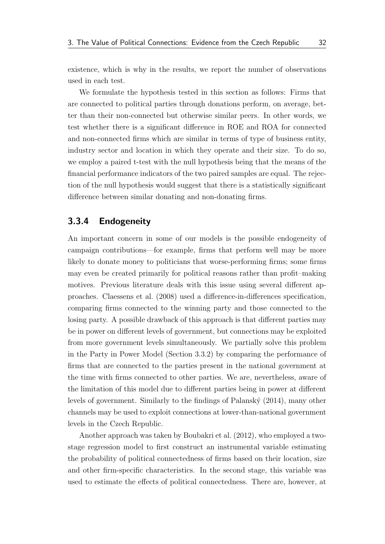existence, which is why in the results, we report the number of observations used in each test.

We formulate the hypothesis tested in this section as follows: Firms that are connected to political parties through donations perform, on average, better than their non-connected but otherwise similar peers. In other words, we test whether there is a significant difference in ROE and ROA for connected and non-connected firms which are similar in terms of type of business entity, industry sector and location in which they operate and their size. To do so, we employ a paired t-test with the null hypothesis being that the means of the financial performance indicators of the two paired samples are equal. The rejection of the null hypothesis would suggest that there is a statistically significant difference between similar donating and non-donating firms.

### <span id="page-46-0"></span>3.3.4 Endogeneity

An important concern in some of our models is the possible endogeneity of campaign contributions—for example, firms that perform well may be more likely to donate money to politicians that worse-performing firms; some firms may even be created primarily for political reasons rather than profit–making motives. Previous literature deals with this issue using several different approaches. [Claessens et al.](#page-63-7) [\(2008\)](#page-63-7) used a difference-in-differences specification, comparing firms connected to the winning party and those connected to the losing party. A possible drawback of this approach is that different parties may be in power on different levels of government, but connections may be exploited from more government levels simultaneously. We partially solve this problem in the Party in Power Model [\(Section 3.3.2\)](#page-43-0) by comparing the performance of firms that are connected to the parties present in the national government at the time with firms connected to other parties. We are, nevertheless, aware of the limitation of this model due to different parties being in power at different levels of government. Similarly to the findings of Palanský [\(2014\)](#page-66-0), many other channels may be used to exploit connections at lower-than-national government levels in the Czech Republic.

Another approach was taken by [Boubakri et al.](#page-63-9) [\(2012\)](#page-63-9), who employed a twostage regression model to first construct an instrumental variable estimating the probability of political connectedness of firms based on their location, size and other firm-specific characteristics. In the second stage, this variable was used to estimate the effects of political connectedness. There are, however, at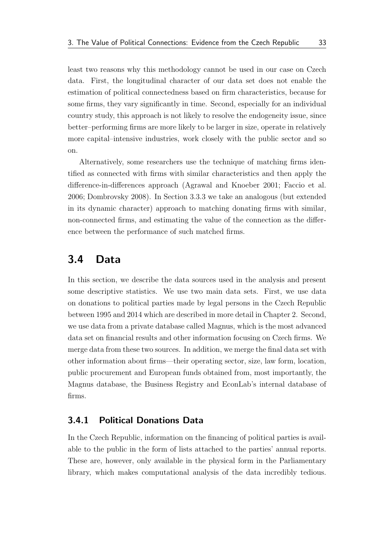least two reasons why this methodology cannot be used in our case on Czech data. First, the longitudinal character of our data set does not enable the estimation of political connectedness based on firm characteristics, because for some firms, they vary significantly in time. Second, especially for an individual country study, this approach is not likely to resolve the endogeneity issue, since better–performing firms are more likely to be larger in size, operate in relatively more capital–intensive industries, work closely with the public sector and so on.

Alternatively, some researchers use the technique of matching firms identified as connected with firms with similar characteristics and then apply the difference-in-differences approach [\(Agrawal and Knoeber](#page-62-8) [2001;](#page-62-8) [Faccio et al.](#page-64-8) [2006;](#page-64-8) [Dombrovsky](#page-63-2) [2008\)](#page-63-2). In [Section 3.3.3](#page-44-0) we take an analogous (but extended in its dynamic character) approach to matching donating firms with similar, non-connected firms, and estimating the value of the connection as the difference between the performance of such matched firms.

## <span id="page-47-0"></span>3.4 Data

In this section, we describe the data sources used in the analysis and present some descriptive statistics. We use two main data sets. First, we use data on donations to political parties made by legal persons in the Czech Republic between 1995 and 2014 which are described in more detail in [Chapter 2.](#page-17-0) Second, we use data from a private database called Magnus, which is the most advanced data set on financial results and other information focusing on Czech firms. We merge data from these two sources. In addition, we merge the final data set with other information about firms—their operating sector, size, law form, location, public procurement and European funds obtained from, most importantly, the Magnus database, the Business Registry and EconLab's internal database of firms.

### <span id="page-47-1"></span>3.4.1 Political Donations Data

In the Czech Republic, information on the financing of political parties is available to the public in the form of lists attached to the parties' annual reports. These are, however, only available in the physical form in the Parliamentary library, which makes computational analysis of the data incredibly tedious.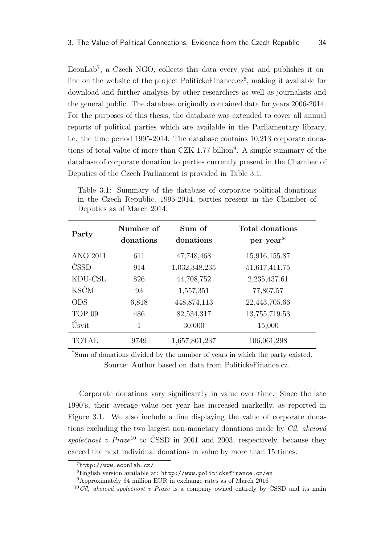EconLab<sup>[7](#page-48-1)</sup>, a Czech NGO, collects this data every year and publishes it on-line on the website of the project Politicke Finance.cz<sup>[8](#page-48-2)</sup>, making it available for download and further analysis by other researchers as well as journalists and the general public. The database originally contained data for years 2006-2014. For the purposes of this thesis, the database was extended to cover all annual reports of political parties which are available in the Parliamentary library, i.e. the time period 1995-2014. The database contains 10,213 corporate dona-tions of total value of more than CZK 1.77 billion<sup>[9](#page-48-3)</sup>. A simple summary of the database of corporate donation to parties currently present in the Chamber of Deputies of the Czech Parliament is provided in [Table 3.1.](#page-48-0)

<span id="page-48-0"></span>Table 3.1: Summary of the database of corporate political donations in the Czech Republic, 1995-2014, parties present in the Chamber of Deputies as of March 2014.

| Party             | Number of<br>donations | Sum of<br>donations | Total donations<br>per year <sup>*</sup> |
|-------------------|------------------------|---------------------|------------------------------------------|
| <b>ANO 2011</b>   | 611                    | 47,748,468          | 15,916,155.87                            |
| ČSSD              | 914                    | 1,032,348,235       | 51,617,411.75                            |
| KDU-ČSL           | 826                    | 44,708,752          | 2,235,437.61                             |
| <b>KSČM</b>       | 93                     | 1,557,351           | 77,867.57                                |
| <b>ODS</b>        | 6,818                  | 448, 874, 113       | 22,443,705.66                            |
| TOP <sub>09</sub> | 486                    | 82,534,317          | 13,755,719.53                            |
| Úsvit             | 1                      | 30,000              | 15,000                                   |
| <b>TOTAL</b>      | 9749                   | 1,657,801,237       | 106,061,298                              |

\*Sum of donations divided by the number of years in which the party existed. Source: Author based on data from PolitickeFinance.cz.

Corporate donations vary significantly in value over time. Since the late 1990's, their average value per year has increased markedly, as reported in [Figure 3.1.](#page-49-0) We also include a line displaying the value of corporate donations excluding the two largest non-monetary donations made by  $C<sub>i</sub>l$ , akciová společnost v Praze<sup>[10](#page-48-4)</sup> to ČSSD in 2001 and 2003, respectively, because they exceed the next individual donations in value by more than 15 times.

<span id="page-48-1"></span><sup>7</sup><http://www.econlab.cz/>

<span id="page-48-3"></span><span id="page-48-2"></span><sup>8</sup>English version available at: <http://www.politickefinance.cz/en>

<sup>9</sup>Approximately 64 million EUR in exchange rates as of March 2016

<span id="page-48-4"></span><sup>&</sup>lt;sup>10</sup>Cîl, akciová společnost v Praze is a company owned entirely by ČSSD and its main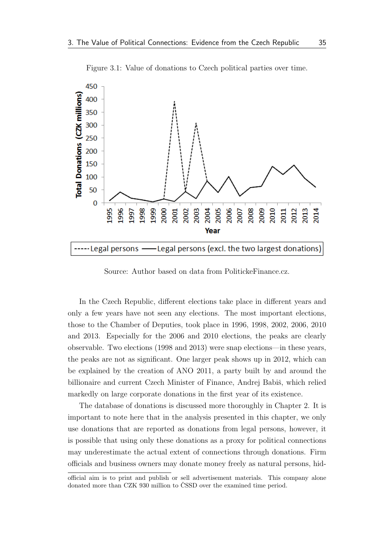<span id="page-49-0"></span>

Figure 3.1: Value of donations to Czech political parties over time.

Source: Author based on data from PolitickeFinance.cz.

In the Czech Republic, different elections take place in different years and only a few years have not seen any elections. The most important elections, those to the Chamber of Deputies, took place in 1996, 1998, 2002, 2006, 2010 and 2013. Especially for the 2006 and 2010 elections, the peaks are clearly observable. Two elections (1998 and 2013) were snap elections—in these years, the peaks are not as significant. One larger peak shows up in 2012, which can be explained by the creation of ANO 2011, a party built by and around the billionaire and current Czech Minister of Finance, Andrej Babiš, which relied markedly on large corporate donations in the first year of its existence.

The database of donations is discussed more thoroughly in [Chapter 2.](#page-17-0) It is important to note here that in the analysis presented in this chapter, we only use donations that are reported as donations from legal persons, however, it is possible that using only these donations as a proxy for political connections may underestimate the actual extent of connections through donations. Firm officials and business owners may donate money freely as natural persons, hid-

official aim is to print and publish or sell advertisement materials. This company alone donated more than CZK 930 million to CSSD over the examined time period.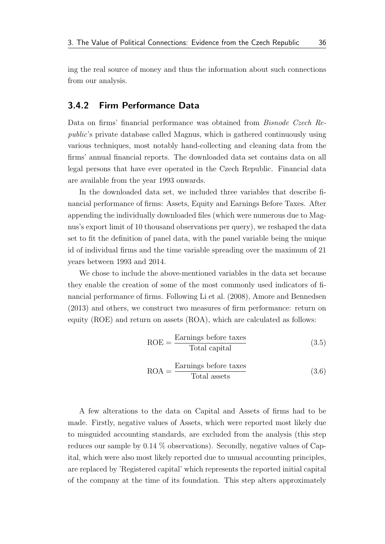ing the real source of money and thus the information about such connections from our analysis.

### <span id="page-50-0"></span>3.4.2 Firm Performance Data

Data on firms' financial performance was obtained from Bisnode Czech Republic's private database called Magnus, which is gathered continuously using various techniques, most notably hand-collecting and cleaning data from the firms' annual financial reports. The downloaded data set contains data on all legal persons that have ever operated in the Czech Republic. Financial data are available from the year 1993 onwards.

In the downloaded data set, we included three variables that describe financial performance of firms: Assets, Equity and Earnings Before Taxes. After appending the individually downloaded files (which were numerous due to Magnus's export limit of 10 thousand observations per query), we reshaped the data set to fit the definition of panel data, with the panel variable being the unique id of individual firms and the time variable spreading over the maximum of 21 years between 1993 and 2014.

We chose to include the above-mentioned variables in the data set because they enable the creation of some of the most commonly used indicators of financial performance of firms. Following [Li et al.](#page-65-3) [\(2008\)](#page-65-3), [Amore and Bennedsen](#page-62-0) [\(2013\)](#page-62-0) and others, we construct two measures of firm performance: return on equity (ROE) and return on assets (ROA), which are calculated as follows:

$$
ROE = \frac{Earning}{{\text{Total capital}}}
$$
 (3.5)

$$
ROA = \frac{\text{Earnings before taxes}}{\text{Total assets}} \tag{3.6}
$$

A few alterations to the data on Capital and Assets of firms had to be made. Firstly, negative values of Assets, which were reported most likely due to misguided accounting standards, are excluded from the analysis (this step reduces our sample by 0.14 % observations). Secondly, negative values of Capital, which were also most likely reported due to unusual accounting principles, are replaced by 'Registered capital' which represents the reported initial capital of the company at the time of its foundation. This step alters approximately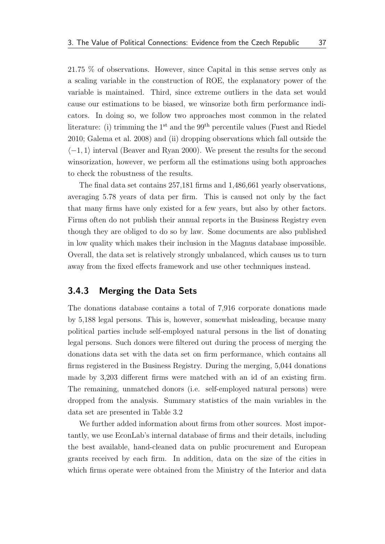21.75 % of observations. However, since Capital in this sense serves only as a scaling variable in the construction of ROE, the explanatory power of the variable is maintained. Third, since extreme outliers in the data set would cause our estimations to be biased, we winsorize both firm performance indicators. In doing so, we follow two approaches most common in the related literature: (i) trimming the  $1^{st}$  and the  $99^{th}$  percentile values [\(Fuest and Riedel](#page-64-10) [2010;](#page-64-10) [Galema et al.](#page-64-11) [2008\)](#page-64-11) and (ii) dropping observations which fall outside the  $\langle -1, 1 \rangle$  interval [\(Beaver and Ryan](#page-62-9) [2000\)](#page-62-9). We present the results for the second winsorization, however, we perform all the estimations using both approaches to check the robustness of the results.

The final data set contains 257,181 firms and 1,486,661 yearly observations, averaging 5.78 years of data per firm. This is caused not only by the fact that many firms have only existed for a few years, but also by other factors. Firms often do not publish their annual reports in the Business Registry even though they are obliged to do so by law. Some documents are also published in low quality which makes their inclusion in the Magnus database impossible. Overall, the data set is relatively strongly unbalanced, which causes us to turn away from the fixed effects framework and use other technniques instead.

### <span id="page-51-0"></span>3.4.3 Merging the Data Sets

The donations database contains a total of 7,916 corporate donations made by 5,188 legal persons. This is, however, somewhat misleading, because many political parties include self-employed natural persons in the list of donating legal persons. Such donors were filtered out during the process of merging the donations data set with the data set on firm performance, which contains all firms registered in the Business Registry. During the merging, 5,044 donations made by 3,203 different firms were matched with an id of an existing firm. The remaining, unmatched donors (i.e. self-employed natural persons) were dropped from the analysis. Summary statistics of the main variables in the data set are presented in [Table 3.2](#page-52-2)

We further added information about firms from other sources. Most importantly, we use EconLab's internal database of firms and their details, including the best available, hand-cleaned data on public procurement and European grants received by each firm. In addition, data on the size of the cities in which firms operate were obtained from the Ministry of the Interior and data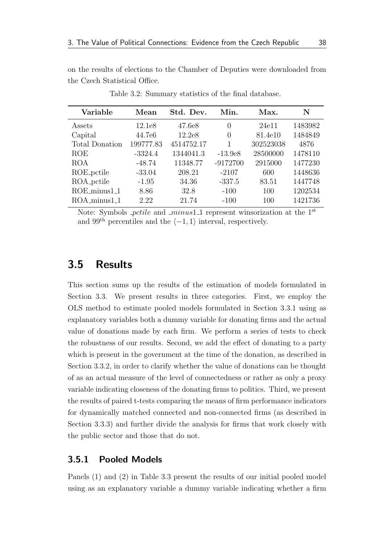<span id="page-52-2"></span>on the results of elections to the Chamber of Deputies were downloaded from the Czech Statistical Office.

| Variable              | Mean      | Std. Dev.  | Min.       | Max.      | N       |
|-----------------------|-----------|------------|------------|-----------|---------|
| Assets                | 12.1e8    | 47.6e8     | 0          | 24e11     | 1483982 |
| Capital               | 44.7e6    | 12.2e8     | $\Omega$   | 81.4e10   | 1484849 |
| <b>Total Donation</b> | 199777.83 | 4514752.17 |            | 302523038 | 4876    |
| <b>ROE</b>            | $-3324.4$ | 1344041.3  | $-13.9e8$  | 28500000  | 1478110 |
| ROA                   | $-48.74$  | 11348.77   | $-9172700$ | 2915000   | 1477230 |
| ROE_pctile            | $-33.04$  | 208.21     | $-2107$    | 600       | 1448636 |
| ROA_pctile            | $-1.95$   | 34.36      | $-337.5$   | 83.51     | 1447748 |
| ROE_minus1_1          | 8.86      | 32.8       | $-100$     | 100       | 1202534 |
| ROA_minus1_1          | 2.22      | 21.74      | $-100$     | 100       | 1421736 |

Table 3.2: Summary statistics of the final database.

Note: Symbols  $\text{-}ptile$  and  $\text{-}minus1$  represent winsorization at the 1<sup>st</sup> and 99<sup>th</sup> percentiles and the  $\langle -1, 1 \rangle$  interval, respectively.

## <span id="page-52-0"></span>3.5 Results

This section sums up the results of the estimation of models formulated in [Section 3.3.](#page-41-0) We present results in three categories. First, we employ the OLS method to estimate pooled models formulated in [Section 3.3.1](#page-41-1) using as explanatory variables both a dummy variable for donating firms and the actual value of donations made by each firm. We perform a series of tests to check the robustness of our results. Second, we add the effect of donating to a party which is present in the government at the time of the donation, as described in [Section 3.3.2,](#page-43-0) in order to clarify whether the value of donations can be thought of as an actual measure of the level of connectedness or rather as only a proxy variable indicating closeness of the donating firms to politics. Third, we present the results of paired t-tests comparing the means of firm performance indicators for dynamically matched connected and non-connected firms (as described in [Section 3.3.3\)](#page-44-0) and further divide the analysis for firms that work closely with the public sector and those that do not.

### <span id="page-52-1"></span>3.5.1 Pooled Models

Panels (1) and (2) in [Table 3.3](#page-54-0) present the results of our initial pooled model using as an explanatory variable a dummy variable indicating whether a firm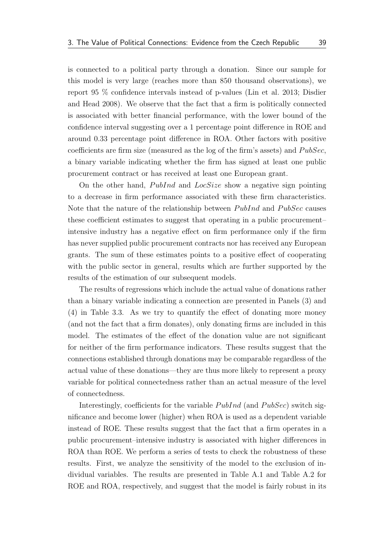is connected to a political party through a donation. Since our sample for this model is very large (reaches more than 850 thousand observations), we report 95 % confidence intervals instead of p-values [\(Lin et al.](#page-65-12) [2013;](#page-65-12) [Disdier](#page-63-10) [and Head](#page-63-10) [2008\)](#page-63-10). We observe that the fact that a firm is politically connected is associated with better financial performance, with the lower bound of the confidence interval suggesting over a 1 percentage point difference in ROE and around 0.33 percentage point difference in ROA. Other factors with positive coefficients are firm size (measured as the log of the firm's assets) and  $PubSec$ , a binary variable indicating whether the firm has signed at least one public procurement contract or has received at least one European grant.

On the other hand,  $PubInd$  and  $LocSize$  show a negative sign pointing to a decrease in firm performance associated with these firm characteristics. Note that the nature of the relationship between  $PubInd$  and  $PubSec$  causes these coefficient estimates to suggest that operating in a public procurement– intensive industry has a negative effect on firm performance only if the firm has never supplied public procurement contracts nor has received any European grants. The sum of these estimates points to a positive effect of cooperating with the public sector in general, results which are further supported by the results of the estimation of our subsequent models.

The results of regressions which include the actual value of donations rather than a binary variable indicating a connection are presented in Panels (3) and (4) in [Table 3.3.](#page-54-0) As we try to quantify the effect of donating more money (and not the fact that a firm donates), only donating firms are included in this model. The estimates of the effect of the donation value are not significant for neither of the firm performance indicators. These results suggest that the connections established through donations may be comparable regardless of the actual value of these donations—they are thus more likely to represent a proxy variable for political connectedness rather than an actual measure of the level of connectedness.

Interestingly, coefficients for the variable  $PubInd$  (and  $PubSec$ ) switch significance and become lower (higher) when ROA is used as a dependent variable instead of ROE. These results suggest that the fact that a firm operates in a public procurement–intensive industry is associated with higher differences in ROA than ROE. We perform a series of tests to check the robustness of these results. First, we analyze the sensitivity of the model to the exclusion of individual variables. The results are presented in [Table A.1](#page-68-0) and [Table A.2](#page-69-0) for ROE and ROA, respectively, and suggest that the model is fairly robust in its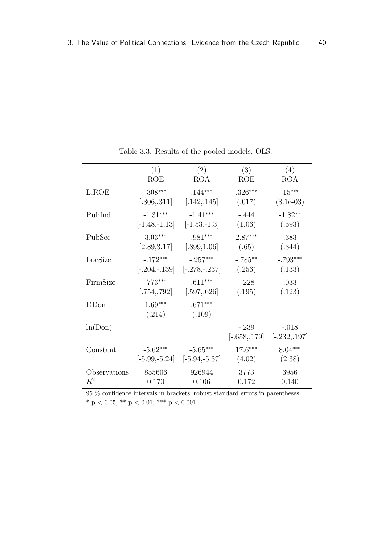<span id="page-54-0"></span>

|                  | (1)                         | (2)                 | (3)        | (4)                                      |
|------------------|-----------------------------|---------------------|------------|------------------------------------------|
|                  | <b>ROE</b>                  | <b>ROA</b>          | <b>ROE</b> | <b>ROA</b>                               |
| L.ROE            | $.308***$                   | $.144***$           | $.326***$  | $.15***$                                 |
|                  | [.306, .311]                | [.142, .145]        | (.017)     | $(8.1e-03)$                              |
| PubInd           | $-1.31***$                  | $-1.41***$          | $-.444$    | $-1.82**$                                |
|                  | $[-1.48,-1.13]$             | $[-1.53,-1.3]$      | (1.06)     | (.593)                                   |
| PubSec           | $3.03***$                   | $.981***$           | $2.87***$  | .383                                     |
|                  | [2.89, 3.17]                | [.899, 1.06]        | (.65)      | (.344)                                   |
| LocSize          | $-.172***$                  | $-.257***$          | $-.785**$  | $-.793***$                               |
|                  | $[-.204,-.139]$             | $[-.278,-.237]$     | (.256)     | (.133)                                   |
| FirmSize         | $.773***$                   | $.611***$           | $-.228$    | .033                                     |
|                  | $\left[ .754, .792 \right]$ | [.597, .626]        | (.195)     | (.123)                                   |
| DD <sub>on</sub> | $1.69***$<br>(.214)         | $.671***$<br>(.109) |            |                                          |
| ln(Don)          |                             |                     | $-.239$    | $-.018$<br>$[-.658, 179]$ $[-.232, 197]$ |
| Constant         | $-5.62***$                  | $-5.65***$          | $17.6***$  | $8.04***$                                |
|                  | $[-5.99,-5.24]$             | $[-5.94,-5.37]$     | (4.02)     | (2.38)                                   |
| Observations     | 855606                      | 926944              | 3773       | 3956                                     |
| $R^2$            | 0.170                       | 0.106               | 0.172      | 0.140                                    |

Table 3.3: Results of the pooled models, OLS.

 $95\ \%$  confidence intervals in brackets, robust standard errors in parentheses. \* p < 0.05, \*\* p < 0.01, \*\*\* p < 0.001.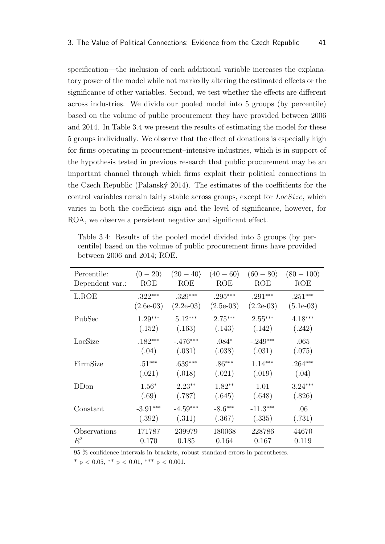specification—the inclusion of each additional variable increases the explanatory power of the model while not markedly altering the estimated effects or the significance of other variables. Second, we test whether the effects are different across industries. We divide our pooled model into 5 groups (by percentile) based on the volume of public procurement they have provided between 2006 and 2014. In [Table 3.4](#page-55-0) we present the results of estimating the model for these 5 groups individually. We observe that the effect of donations is especially high for firms operating in procurement–intensive industries, which is in support of the hypothesis tested in previous research that public procurement may be an important channel through which firms exploit their political connections in the Czech Republic (Palanský [2014\)](#page-66-0). The estimates of the coefficients for the control variables remain fairly stable across groups, except for  $LocSize$ , which varies in both the coefficient sign and the level of significance, however, for ROA, we observe a persistent negative and significant effect.

| Percentile:     | $\langle 0-20 \rangle$ | $(20 - 40)$ | $(40 - 60)$ | $(60 - 80)$ | $(80 - 100)$ |
|-----------------|------------------------|-------------|-------------|-------------|--------------|
| Dependent var.: | ROE                    | <b>ROE</b>  | ROE         | <b>ROE</b>  | <b>ROE</b>   |
| L.ROE           | $.322***$              | $.329***$   | $.295***$   | $.291***$   | $.251***$    |
|                 | $(2.6e-03)$            | $(2.2e-03)$ | $(2.5e-03)$ | $(2.2e-03)$ | $(5.1e-03)$  |
| PubSec          | $1.29***$              | $5.12***$   | $2.75***$   | $2.55***$   | $4.18***$    |
|                 | (.152)                 | (.163)      | (.143)      | (.142)      | (.242)       |
| LocSize         | $.182***$              | $-.476***$  | $.084*$     | $-.249***$  | .065         |
|                 | (.04)                  | (.031)      | (.038)      | (.031)      | (.075)       |
| FirmSize        | $.51***$               | $.639***$   | $.86***$    | $1.14***$   | $.264***$    |
|                 | (.021)                 | (.018)      | (.021)      | (.019)      | (.04)        |
| DDon            | $1.56*$                | $2.23***$   | $1.82**$    | 1.01        | $3.24***$    |
|                 | (.69)                  | (.787)      | (.645)      | (.648)      | (.826)       |
| Constant        | $-3.91***$             | $-4.59***$  | $-8.6***$   | $-11.3***$  | .06          |
|                 | (.392)                 | (.311)      | (.367)      | (.335)      | (.731)       |
| Observations    | 171787                 | 239979      | 180068      | 228786      | 44670        |
| $R^2$           | 0.170                  | 0.185       | 0.164       | 0.167       | 0.119        |

<span id="page-55-0"></span>Table 3.4: Results of the pooled model divided into 5 groups (by percentile) based on the volume of public procurement firms have provided between 2006 and 2014; ROE.

95 % confidence intervals in brackets, robust standard errors in parentheses.

\* p < 0.05, \*\* p < 0.01, \*\*\* p < 0.001.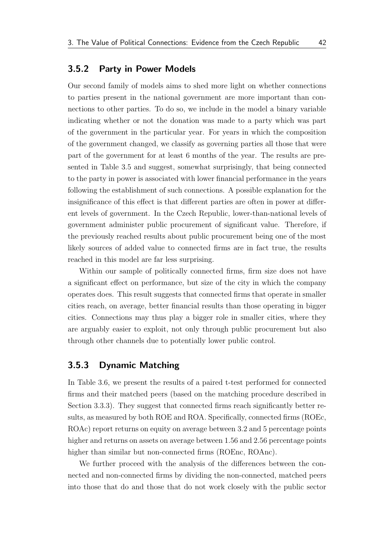#### <span id="page-56-0"></span>3.5.2 Party in Power Models

Our second family of models aims to shed more light on whether connections to parties present in the national government are more important than connections to other parties. To do so, we include in the model a binary variable indicating whether or not the donation was made to a party which was part of the government in the particular year. For years in which the composition of the government changed, we classify as governing parties all those that were part of the government for at least 6 months of the year. The results are presented in [Table 3.5](#page-57-0) and suggest, somewhat surprisingly, that being connected to the party in power is associated with lower financial performance in the years following the establishment of such connections. A possible explanation for the insignificance of this effect is that different parties are often in power at different levels of government. In the Czech Republic, lower-than-national levels of government administer public procurement of significant value. Therefore, if the previously reached results about public procurement being one of the most likely sources of added value to connected firms are in fact true, the results reached in this model are far less surprising.

Within our sample of politically connected firms, firm size does not have a significant effect on performance, but size of the city in which the company operates does. This result suggests that connected firms that operate in smaller cities reach, on average, better financial results than those operating in bigger cities. Connections may thus play a bigger role in smaller cities, where they are arguably easier to exploit, not only through public procurement but also through other channels due to potentially lower public control.

### <span id="page-56-1"></span>3.5.3 Dynamic Matching

In [Table 3.6,](#page-58-0) we present the results of a paired t-test performed for connected firms and their matched peers (based on the matching procedure described in [Section 3.3.3\)](#page-44-0). They suggest that connected firms reach significantly better results, as measured by both ROE and ROA. Specifically, connected firms (ROEc, ROAc) report returns on equity on average between 3.2 and 5 percentage points higher and returns on assets on average between 1.56 and 2.56 percentage points higher than similar but non-connected firms (ROEnc, ROAnc).

We further proceed with the analysis of the differences between the connected and non-connected firms by dividing the non-connected, matched peers into those that do and those that do not work closely with the public sector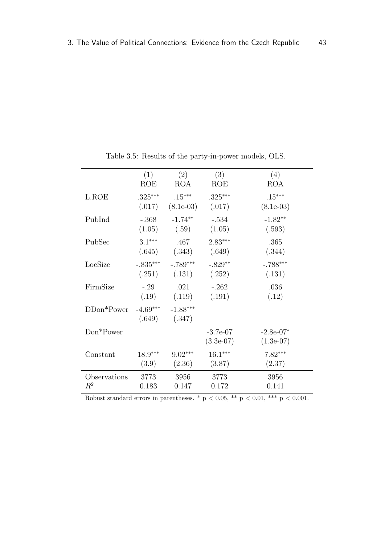<span id="page-57-0"></span>

|              | (1)                  | (2)                  | (3)                       | (4)                        |
|--------------|----------------------|----------------------|---------------------------|----------------------------|
|              | ROE                  | <b>ROA</b>           | ROE                       | <b>ROA</b>                 |
| L.ROE        | $.325***$            | $.15***$             | $.325***$                 | $.15***$                   |
|              | (.017)               | $(8.1e-03)$          | (.017)                    | $(8.1e-03)$                |
| PubInd       | $-.368$              | $-1.74**$            | $-.534$                   | $-1.82**$                  |
|              | (1.05)               | (.59)                | (1.05)                    | (.593)                     |
| PubSec       | $3.1***$             | .467                 | $2.83***$                 | .365                       |
|              | (.645)               | (.343)               | (.649)                    | (.344)                     |
| LocSize      | $-.835***$           | $-.789***$           | $-.829**$                 | $-.788***$                 |
|              | (.251)               | (.131)               | (.252)                    | (.131)                     |
| FirmSize     | $-.29$               | .021                 | $-.262$                   | .036                       |
|              | (.19)                | (.119)               | (.191)                    | (.12)                      |
| $DDon*Power$ | $-4.69***$<br>(.649) | $-1.88***$<br>(.347) |                           |                            |
| Don*Power    |                      |                      | $-3.7e-07$<br>$(3.3e-07)$ | $-2.8e-07*$<br>$(1.3e-07)$ |
| Constant     | $18.9***$            | $9.02***$            | $16.1***$                 | $7.82***$                  |
|              | (3.9)                | (2.36)               | (3.87)                    | (2.37)                     |
| Observations | 3773                 | 3956                 | 3773                      | 3956                       |
| $\,R^2$      | 0.183                | 0.147                | 0.172                     | 0.141                      |

Table 3.5: Results of the party-in-power models, OLS.

Robust standard errors in parentheses. \*  $p < 0.05$ , \*\*  $p < 0.01$ , \*\*\*  $p < 0.001$ .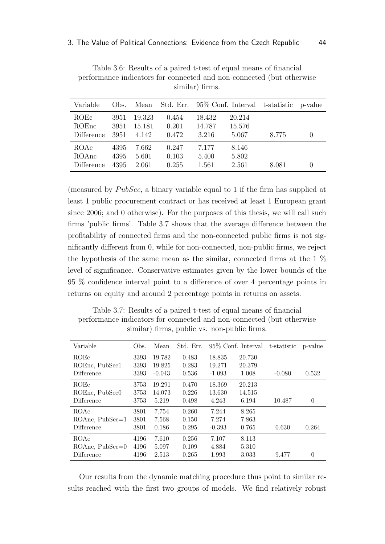| Variable                    | Obs.                 |                           |                         |                           |                           | Mean Std. Err. 95% Conf. Interval t-statistic p-value |                  |
|-----------------------------|----------------------|---------------------------|-------------------------|---------------------------|---------------------------|-------------------------------------------------------|------------------|
| ROEC<br>ROEnc<br>Difference | 3951<br>3951<br>3951 | 19.323<br>15.181<br>4.142 | 0.454<br>0.201<br>0.472 | 18.432<br>14.787<br>3.216 | 20.214<br>15.576<br>5.067 | 8.775                                                 |                  |
| ROAc<br>ROAnc<br>Difference | 4395<br>4395<br>4395 | 7.662<br>5.601<br>2.061   | 0.247<br>0.103<br>0.255 | 7.177<br>5.400<br>1.561   | 8.146<br>5.802<br>2.561   | 8.081                                                 | $\left( \right)$ |

<span id="page-58-0"></span>Table 3.6: Results of a paired t-test of equal means of financial performance indicators for connected and non-connected (but otherwise similar) firms.

(measured by  $PubSec$ , a binary variable equal to 1 if the firm has supplied at least 1 public procurement contract or has received at least 1 European grant since 2006; and 0 otherwise). For the purposes of this thesis, we will call such firms 'public firms'. [Table 3.7](#page-58-1) shows that the average difference between the profitability of connected firms and the non-connected public firms is not significantly different from 0, while for non-connected, non-public firms, we reject the hypothesis of the same mean as the similar, connected firms at the 1 % level of significance. Conservative estimates given by the lower bounds of the 95 % confidence interval point to a difference of over 4 percentage points in returns on equity and around 2 percentage points in returns on assets.

<span id="page-58-1"></span>Table 3.7: Results of a paired t-test of equal means of financial performance indicators for connected and non-connected (but otherwise similar) firms, public vs. non-public firms.

| Variable          | Obs. | Mean     | Std. Err. |          | 95\% Conf. Interval | t-statistic | p-value  |
|-------------------|------|----------|-----------|----------|---------------------|-------------|----------|
| <b>ROEc</b>       | 3393 | 19.782   | 0.483     | 18.835   | 20.730              |             |          |
| ROEnc, PubSec1    | 3393 | 19.825   | 0.283     | 19.271   | 20.379              |             |          |
| Difference        | 3393 | $-0.043$ | 0.536     | $-1.093$ | 1.008               | $-0.080$    | 0.532    |
| <b>ROEc</b>       | 3753 | 19.291   | 0.470     | 18.369   | 20.213              |             |          |
| ROEnc, PubSec0    | 3753 | 14.073   | 0.226     | 13.630   | 14.515              |             |          |
| Difference        | 3753 | 5.219    | 0.498     | 4.243    | 6.194               | 10.487      | $\Omega$ |
| ROAc              | 3801 | 7.754    | 0.260     | 7.244    | 8.265               |             |          |
| $ROAnc, PubSec=1$ | 3801 | 7.568    | 0.150     | 7.274    | 7.863               |             |          |
| Difference        | 3801 | 0.186    | 0.295     | $-0.393$ | 0.765               | 0.630       | 0.264    |
| ROAc              | 4196 | 7.610    | 0.256     | 7.107    | 8.113               |             |          |
| $ROAnc, PubSec=0$ | 4196 | 5.097    | 0.109     | 4.884    | 5.310               |             |          |
| Difference        | 4196 | 2.513    | 0.265     | 1.993    | 3.033               | 9.477       | $\theta$ |

Our results from the dynamic matching procedure thus point to similar results reached with the first two groups of models. We find relatively robust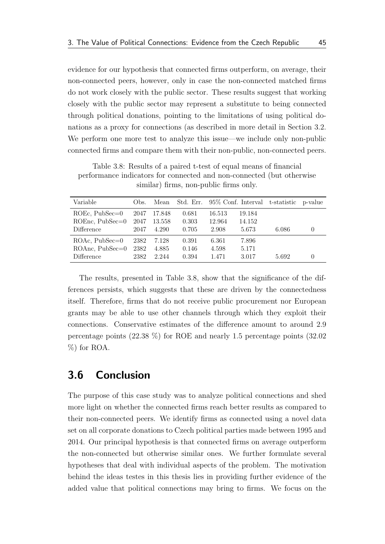evidence for our hypothesis that connected firms outperform, on average, their non-connected peers, however, only in case the non-connected matched firms do not work closely with the public sector. These results suggest that working closely with the public sector may represent a substitute to being connected through political donations, pointing to the limitations of using political donations as a proxy for connections (as described in more detail in [Section 3.2.](#page-35-0) We perform one more test to analyze this issue—we include only non-public connected firms and compare them with their non-public, non-connected peers.

<span id="page-59-1"></span>Table 3.8: Results of a paired t-test of equal means of financial performance indicators for connected and non-connected (but otherwise similar) firms, non-public firms only.

| Variable                        | Obs.         | Mean            |                |                 |                 | Std. Err. 95% Conf. Interval t-statistic p-value |          |
|---------------------------------|--------------|-----------------|----------------|-----------------|-----------------|--------------------------------------------------|----------|
| $ROEc, PubSec=0$                | 2047         | 17.848          | 0.681          | 16.513          | 19.184          |                                                  |          |
| $ROEnc, PubSec=0$<br>Difference | 2047<br>2047 | 13.558<br>4.290 | 0.303<br>0.705 | 12.964<br>2.908 | 14.152<br>5.673 | 6.086                                            | $\theta$ |
| $ROAc, PubSec=0$                | 2382         | 7.128           | 0.391          | 6.361           | 7.896           |                                                  |          |
| $ROAnc, PubSec=0$               | 2382         | 4.885           | 0.146          | 4.598           | 5.171           |                                                  |          |
| Difference                      | 2382         | 2.244           | 0.394          | 1.471           | 3.017           | 5.692                                            |          |

The results, presented in [Table 3.8,](#page-59-1) show that the significance of the differences persists, which suggests that these are driven by the connectedness itself. Therefore, firms that do not receive public procurement nor European grants may be able to use other channels through which they exploit their connections. Conservative estimates of the difference amount to around 2.9 percentage points (22.38 %) for ROE and nearly 1.5 percentage points (32.02 %) for ROA.

## <span id="page-59-0"></span>3.6 Conclusion

The purpose of this case study was to analyze political connections and shed more light on whether the connected firms reach better results as compared to their non-connected peers. We identify firms as connected using a novel data set on all corporate donations to Czech political parties made between 1995 and 2014. Our principal hypothesis is that connected firms on average outperform the non-connected but otherwise similar ones. We further formulate several hypotheses that deal with individual aspects of the problem. The motivation behind the ideas testes in this thesis lies in providing further evidence of the added value that political connections may bring to firms. We focus on the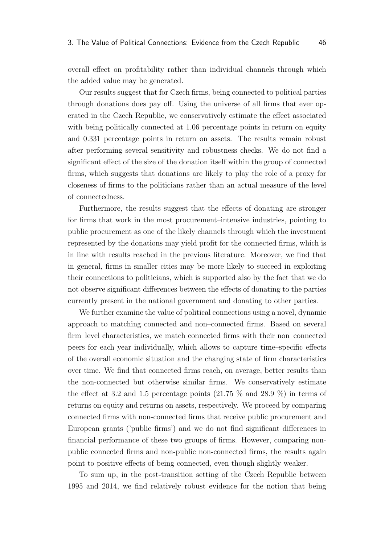overall effect on profitability rather than individual channels through which the added value may be generated.

Our results suggest that for Czech firms, being connected to political parties through donations does pay off. Using the universe of all firms that ever operated in the Czech Republic, we conservatively estimate the effect associated with being politically connected at 1.06 percentage points in return on equity and 0.331 percentage points in return on assets. The results remain robust after performing several sensitivity and robustness checks. We do not find a significant effect of the size of the donation itself within the group of connected firms, which suggests that donations are likely to play the role of a proxy for closeness of firms to the politicians rather than an actual measure of the level of connectedness.

Furthermore, the results suggest that the effects of donating are stronger for firms that work in the most procurement–intensive industries, pointing to public procurement as one of the likely channels through which the investment represented by the donations may yield profit for the connected firms, which is in line with results reached in the previous literature. Moreover, we find that in general, firms in smaller cities may be more likely to succeed in exploiting their connections to politicians, which is supported also by the fact that we do not observe significant differences between the effects of donating to the parties currently present in the national government and donating to other parties.

We further examine the value of political connections using a novel, dynamic approach to matching connected and non–connected firms. Based on several firm–level characteristics, we match connected firms with their non–connected peers for each year individually, which allows to capture time–specific effects of the overall economic situation and the changing state of firm characteristics over time. We find that connected firms reach, on average, better results than the non-connected but otherwise similar firms. We conservatively estimate the effect at 3.2 and 1.5 percentage points  $(21.75\%$  and  $28.9\%$ ) in terms of returns on equity and returns on assets, respectively. We proceed by comparing connected firms with non-connected firms that receive public procurement and European grants ('public firms') and we do not find significant differences in financial performance of these two groups of firms. However, comparing nonpublic connected firms and non-public non-connected firms, the results again point to positive effects of being connected, even though slightly weaker.

To sum up, in the post-transition setting of the Czech Republic between 1995 and 2014, we find relatively robust evidence for the notion that being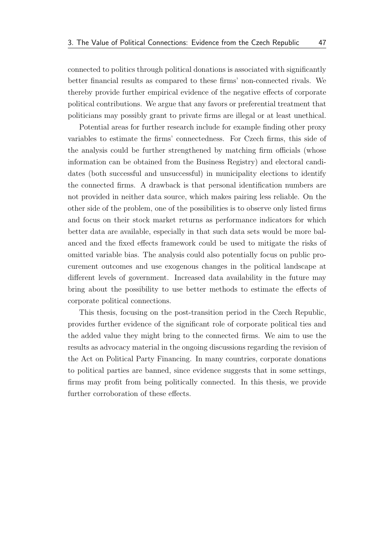connected to politics through political donations is associated with significantly better financial results as compared to these firms' non-connected rivals. We thereby provide further empirical evidence of the negative effects of corporate political contributions. We argue that any favors or preferential treatment that politicians may possibly grant to private firms are illegal or at least unethical.

Potential areas for further research include for example finding other proxy variables to estimate the firms' connectedness. For Czech firms, this side of the analysis could be further strengthened by matching firm officials (whose information can be obtained from the Business Registry) and electoral candidates (both successful and unsuccessful) in municipality elections to identify the connected firms. A drawback is that personal identification numbers are not provided in neither data source, which makes pairing less reliable. On the other side of the problem, one of the possibilities is to observe only listed firms and focus on their stock market returns as performance indicators for which better data are available, especially in that such data sets would be more balanced and the fixed effects framework could be used to mitigate the risks of omitted variable bias. The analysis could also potentially focus on public procurement outcomes and use exogenous changes in the political landscape at different levels of government. Increased data availability in the future may bring about the possibility to use better methods to estimate the effects of corporate political connections.

This thesis, focusing on the post-transition period in the Czech Republic, provides further evidence of the significant role of corporate political ties and the added value they might bring to the connected firms. We aim to use the results as advocacy material in the ongoing discussions regarding the revision of the Act on Political Party Financing. In many countries, corporate donations to political parties are banned, since evidence suggests that in some settings, firms may profit from being politically connected. In this thesis, we provide further corroboration of these effects.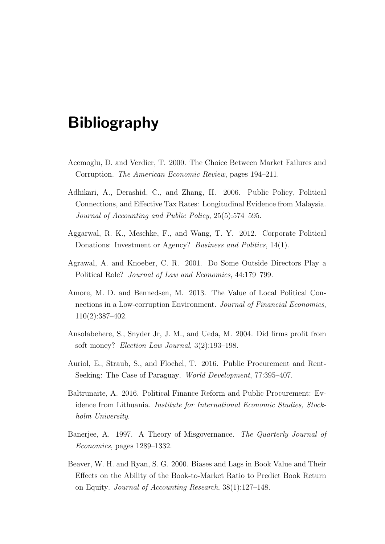# Bibliography

- <span id="page-62-6"></span>Acemoglu, D. and Verdier, T. 2000. The Choice Between Market Failures and Corruption. The American Economic Review, pages 194–211.
- <span id="page-62-2"></span>Adhikari, A., Derashid, C., and Zhang, H. 2006. Public Policy, Political Connections, and Effective Tax Rates: Longitudinal Evidence from Malaysia. Journal of Accounting and Public Policy, 25(5):574–595.
- <span id="page-62-7"></span>Aggarwal, R. K., Meschke, F., and Wang, T. Y. 2012. Corporate Political Donations: Investment or Agency? Business and Politics, 14(1).
- <span id="page-62-8"></span>Agrawal, A. and Knoeber, C. R. 2001. Do Some Outside Directors Play a Political Role? Journal of Law and Economics, 44:179–799.
- <span id="page-62-0"></span>Amore, M. D. and Bennedsen, M. 2013. The Value of Local Political Connections in a Low-corruption Environment. Journal of Financial Economics, 110(2):387–402.
- <span id="page-62-3"></span>Ansolabehere, S., Snyder Jr, J. M., and Ueda, M. 2004. Did firms profit from soft money? Election Law Journal, 3(2):193–198.
- <span id="page-62-4"></span>Auriol, E., Straub, S., and Flochel, T. 2016. Public Procurement and Rent-Seeking: The Case of Paraguay. World Development, 77:395–407.
- <span id="page-62-1"></span>Baltrunaite, A. 2016. Political Finance Reform and Public Procurement: Evidence from Lithuania. Institute for International Economic Studies, Stockholm University.
- <span id="page-62-5"></span>Banerjee, A. 1997. A Theory of Misgovernance. The Quarterly Journal of Economics, pages 1289–1332.
- <span id="page-62-9"></span>Beaver, W. H. and Ryan, S. G. 2000. Biases and Lags in Book Value and Their Effects on the Ability of the Book-to-Market Ratio to Predict Book Return on Equity. Journal of Accounting Research, 38(1):127–148.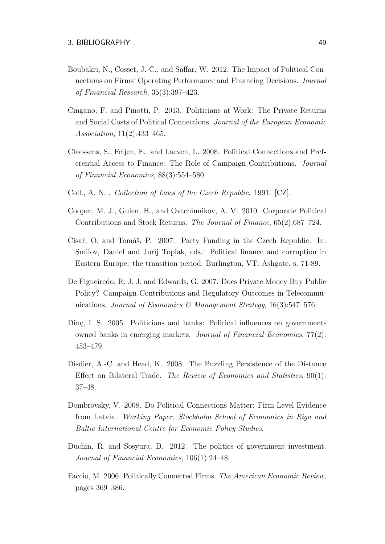- <span id="page-63-9"></span>Boubakri, N., Cosset, J.-C., and Saffar, W. 2012. The Impact of Political Connections on Firms' Operating Performance and Financing Decisions. Journal of Financial Research, 35(3):397–423.
- <span id="page-63-1"></span>Cingano, F. and Pinotti, P. 2013. Politicians at Work: The Private Returns and Social Costs of Political Connections. Journal of the European Economic Association, 11(2):433–465.
- <span id="page-63-7"></span>Claessens, S., Feijen, E., and Laeven, L. 2008. Political Connections and Preferential Access to Finance: The Role of Campaign Contributions. Journal of Financial Economics, 88(3):554–580.
- Coll., A. N. . Collection of Laws of the Czech Republic. 1991. [CZ].
- <span id="page-63-6"></span>Cooper, M. J., Gulen, H., and Ovtchinnikov, A. V. 2010. Corporate Political Contributions and Stock Returns. The Journal of Finance, 65(2):687–724.
- <span id="page-63-3"></span>Císař, O. and Tomáš, P. 2007. Party Funding in the Czech Republic. In: Smilov, Daniel and Jurij Toplak, eds.: Political finance and corruption in Eastern Europe: the transition period. Burlington, VT: Ashgate. s. 71-89.
- <span id="page-63-0"></span>De Figueiredo, R. J. J. and Edwards, G. 2007. Does Private Money Buy Public Policy? Campaign Contributions and Regulatory Outcomes in Telecommunications. Journal of Economics & Management Strategy,  $16(3):547-576$ .
- <span id="page-63-5"></span>Dinç, I. S. 2005. Politicians and banks: Political influences on governmentowned banks in emerging markets. Journal of Financial Economics, 77(2): 453–479.
- <span id="page-63-10"></span>Disdier, A.-C. and Head, K. 2008. The Puzzling Persistence of the Distance Effect on Bilateral Trade. The Review of Economics and Statistics, 90(1): 37–48.
- <span id="page-63-2"></span>Dombrovsky, V. 2008. Do Political Connections Matter: Firm-Level Evidence from Latvia. Working Paper, Stockholm School of Economics in Riga and Baltic International Centre for Economic Policy Studies.
- <span id="page-63-8"></span>Duchin, R. and Sosyura, D. 2012. The politics of government investment. Journal of Financial Economics, 106(1):24–48.
- <span id="page-63-4"></span>Faccio, M. 2006. Politically Connected Firms. The American Economic Review, pages 369–386.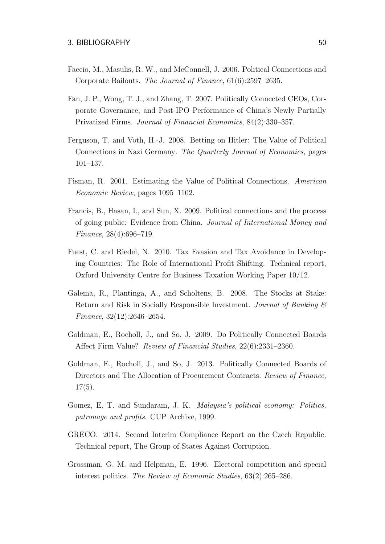- <span id="page-64-8"></span>Faccio, M., Masulis, R. W., and McConnell, J. 2006. Political Connections and Corporate Bailouts. The Journal of Finance, 61(6):2597–2635.
- <span id="page-64-7"></span>Fan, J. P., Wong, T. J., and Zhang, T. 2007. Politically Connected CEOs, Corporate Governance, and Post-IPO Performance of China's Newly Partially Privatized Firms. Journal of Financial Economics, 84(2):330–357.
- <span id="page-64-5"></span>Ferguson, T. and Voth, H.-J. 2008. Betting on Hitler: The Value of Political Connections in Nazi Germany. The Quarterly Journal of Economics, pages 101–137.
- <span id="page-64-3"></span>Fisman, R. 2001. Estimating the Value of Political Connections. American Economic Review, pages 1095–1102.
- <span id="page-64-6"></span>Francis, B., Hasan, I., and Sun, X. 2009. Political connections and the process of going public: Evidence from China. Journal of International Money and Finance, 28(4):696–719.
- <span id="page-64-10"></span>Fuest, C. and Riedel, N. 2010. Tax Evasion and Tax Avoidance in Developing Countries: The Role of International Profit Shifting. Technical report, Oxford University Centre for Business Taxation Working Paper 10/12.
- <span id="page-64-11"></span>Galema, R., Plantinga, A., and Scholtens, B. 2008. The Stocks at Stake: Return and Risk in Socially Responsible Investment. Journal of Banking & Finance, 32(12):2646–2654.
- <span id="page-64-4"></span>Goldman, E., Rocholl, J., and So, J. 2009. Do Politically Connected Boards Affect Firm Value? Review of Financial Studies, 22(6):2331–2360.
- <span id="page-64-0"></span>Goldman, E., Rocholl, J., and So, J. 2013. Politically Connected Boards of Directors and The Allocation of Procurement Contracts. Review of Finance,  $17(5)$ .
- <span id="page-64-1"></span>Gomez, E. T. and Sundaram, J. K. Malaysia's political economy: Politics, patronage and profits. CUP Archive, 1999.
- <span id="page-64-9"></span>GRECO. 2014. Second Interim Compliance Report on the Czech Republic. Technical report, The Group of States Against Corruption.
- <span id="page-64-2"></span>Grossman, G. M. and Helpman, E. 1996. Electoral competition and special interest politics. The Review of Economic Studies, 63(2):265–286.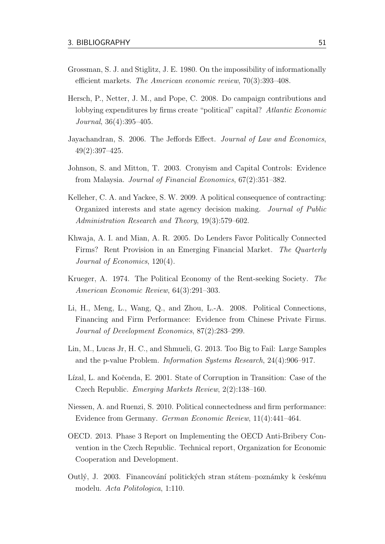- <span id="page-65-6"></span>Grossman, S. J. and Stiglitz, J. E. 1980. On the impossibility of informationally efficient markets. The American economic review, 70(3):393–408.
- <span id="page-65-9"></span>Hersch, P., Netter, J. M., and Pope, C. 2008. Do campaign contributions and lobbying expenditures by firms create "political" capital? Atlantic Economic Journal, 36(4):395–405.
- <span id="page-65-8"></span>Jayachandran, S. 2006. The Jeffords Effect. Journal of Law and Economics, 49(2):397–425.
- <span id="page-65-4"></span>Johnson, S. and Mitton, T. 2003. Cronyism and Capital Controls: Evidence from Malaysia. Journal of Financial Economics, 67(2):351–382.
- <span id="page-65-7"></span>Kelleher, C. A. and Yackee, S. W. 2009. A political consequence of contracting: Organized interests and state agency decision making. Journal of Public Administration Research and Theory, 19(3):579–602.
- <span id="page-65-0"></span>Khwaja, A. I. and Mian, A. R. 2005. Do Lenders Favor Politically Connected Firms? Rent Provision in an Emerging Financial Market. The Quarterly Journal of Economics, 120(4).
- <span id="page-65-5"></span>Krueger, A. 1974. The Political Economy of the Rent-seeking Society. The American Economic Review, 64(3):291–303.
- <span id="page-65-3"></span>Li, H., Meng, L., Wang, Q., and Zhou, L.-A. 2008. Political Connections, Financing and Firm Performance: Evidence from Chinese Private Firms. Journal of Development Economics, 87(2):283–299.
- <span id="page-65-12"></span>Lin, M., Lucas Jr, H. C., and Shmueli, G. 2013. Too Big to Fail: Large Samples and the p-value Problem. Information Systems Research, 24(4):906–917.
- <span id="page-65-10"></span>Lízal, L. and Kočenda, E. 2001. State of Corruption in Transition: Case of the Czech Republic. Emerging Markets Review, 2(2):138–160.
- <span id="page-65-2"></span>Niessen, A. and Ruenzi, S. 2010. Political connectedness and firm performance: Evidence from Germany. German Economic Review, 11(4):441–464.
- <span id="page-65-11"></span>OECD. 2013. Phase 3 Report on Implementing the OECD Anti-Bribery Convention in the Czech Republic. Technical report, Organization for Economic Cooperation and Development.
- <span id="page-65-1"></span>Outlý, J. 2003. Financování politických stran státem–poznámky k českému modelu. Acta Politologica, 1:110.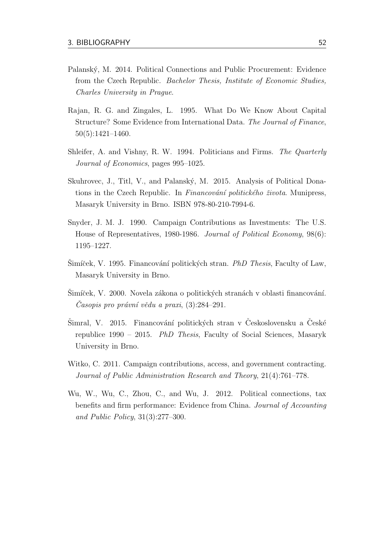- <span id="page-66-0"></span>Palanský, M. 2014. Political Connections and Public Procurement: Evidence from the Czech Republic. Bachelor Thesis, Institute of Economic Studies, Charles University in Prague.
- <span id="page-66-9"></span>Rajan, R. G. and Zingales, L. 1995. What Do We Know About Capital Structure? Some Evidence from International Data. The Journal of Finance, 50(5):1421–1460.
- <span id="page-66-5"></span>Shleifer, A. and Vishny, R. W. 1994. Politicians and Firms. The Quarterly Journal of Economics, pages 995–1025.
- <span id="page-66-1"></span>Skuhrovec, J., Titl, V., and Palanský, M. 2015. Analysis of Political Donations in the Czech Republic. In Financování politického života. Munipress, Masaryk University in Brno. ISBN 978-80-210-7994-6.
- <span id="page-66-6"></span>Snyder, J. M. J. 1990. Campaign Contributions as Investments: The U.S. House of Representatives, 1980-1986. Journal of Political Economy, 98(6): 1195–1227.
- <span id="page-66-2"></span>Simíček, V. 1995. Financování politických stran. PhD Thesis, Faculty of Law, Masaryk University in Brno.
- <span id="page-66-4"></span>Simíček, V. 2000. Novela zákona o politických stranách v oblasti financování.  $Casopis$  pro právní vědu a praxi,  $(3):284-291$ .
- <span id="page-66-3"></span>Šimral, V. 2015. Financování politických stran v Československu a České republice 1990 – 2015. PhD Thesis, Faculty of Social Sciences, Masaryk University in Brno.
- <span id="page-66-7"></span>Witko, C. 2011. Campaign contributions, access, and government contracting. Journal of Public Administration Research and Theory, 21(4):761–778.
- <span id="page-66-8"></span>Wu, W., Wu, C., Zhou, C., and Wu, J. 2012. Political connections, tax benefits and firm performance: Evidence from China. Journal of Accounting and Public Policy, 31(3):277–300.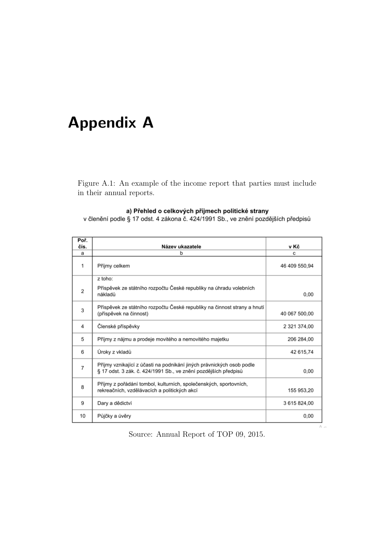# <span id="page-67-0"></span>Appendix A

<span id="page-67-1"></span>Figure A.1: An example of the income report that parties must include in their annual reports.

#### a) Přehled o celkových příjmech politické strany

v členění podle § 17 odst. 4 zákona č. 424/1991 Sb., ve znění pozdějších předpisů

| Poř.<br>čís.   | Název ukazatele                                                                                                                          | v Kč          |
|----------------|------------------------------------------------------------------------------------------------------------------------------------------|---------------|
| a              | b                                                                                                                                        | с             |
| 1              | Příjmy celkem                                                                                                                            | 46 409 550,94 |
|                | z toho:                                                                                                                                  |               |
| $\overline{2}$ | Příspěvek ze státního rozpočtu České republiky na úhradu volebních<br>nákladů                                                            | 0.00          |
| 3              | Příspěvek ze státního rozpočtu České republiky na činnost strany a hnutí<br>(příspěvek na činnost)                                       | 40 067 500,00 |
| 4              | Členské příspěvky                                                                                                                        | 2 321 374,00  |
| 5              | Příjmy z nájmu a prodeje movitého a nemovitého majetku                                                                                   | 206 284,00    |
| 6              | Úroky z vkladů                                                                                                                           | 42 615,74     |
| $\overline{7}$ | Příjmy vznikající z účasti na podnikání jiných právnických osob podle<br>§ 17 odst. 3 zák. č. 424/1991 Sb., ve znění pozdějších předpisů | 0.00          |
| 8              | Příjmy z pořádání tombol, kulturních, společenských, sportovních,<br>rekreačních, vzdělávacích a politických akcí                        | 155 953,20    |
| 9              | Dary a dědictví                                                                                                                          | 3 615 824,00  |
| 10             | Půjčky a úvěry                                                                                                                           | 0,00          |

Source: Annual Report of TOP 09, 2015.

 $\Lambda$  ...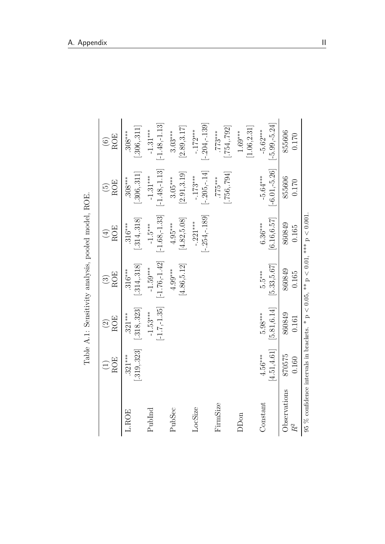|                                                                                       |                             |                                  |                                       | Table A.1: Sensitivity analysis, pooled model, ROE. |                                    |                                 |
|---------------------------------------------------------------------------------------|-----------------------------|----------------------------------|---------------------------------------|-----------------------------------------------------|------------------------------------|---------------------------------|
|                                                                                       | <b>ROE</b>                  | <b>ROE</b><br>$\widehat{\Omega}$ | <b>ROE</b><br>$\widehat{\mathcal{C}}$ | <b>ROE</b><br>$(\pm)$                               | <b>ROE</b><br>$\widetilde{\Theta}$ | <b>ROE</b><br>$\widehat{\odot}$ |
| <b>L.ROE</b>                                                                          | $-.319,.323$<br>$321***$    | $[-318, 323]$<br>$321***$        | $[-314, 318]$<br>$316***$             | $[-314, 318]$<br>$316***$                           | [.306, .311]<br>$.308***$          | [.306, .311]<br>$308***$        |
| PubInd                                                                                |                             | $[-1.7,-1.35]$<br>$-1.53***$     | $[-1.76,-1.42]$<br>$-1.59***$         | $[-1.68, -1.33]$<br>$-1.5***$                       | $[-1.48, -1.13]$<br>$-1.31***$     | $[-1.48, -1.13]$<br>$-1.31***$  |
| PubSec                                                                                |                             |                                  | [4.86, 5.12]<br>$4.99***$             | [4.82, 5.08]<br>$4.95***$                           | [2.91, 3.19]<br>$3.05***$          | [2.89, 3.17]<br>$3.03***$       |
| LocSize                                                                               |                             |                                  |                                       | $[-.254, -.189]$<br>$-.221***$                      | $[-.205,-.14]$<br>$-.173***$       | $[-.204, -.139]$<br>$-.172***$  |
| FirmSize                                                                              |                             |                                  |                                       |                                                     | [.756, .794]<br>55775              | $[-754, 792]$<br>$.773***$      |
| <b>DD</b> on                                                                          |                             |                                  |                                       |                                                     |                                    | [1.06, 2.31]<br>$1.69***$       |
| Constant                                                                              | $[4.51, 4.61]$<br>$4.56***$ | [5.81, 6.14]<br>$5.98***$        | [5.33, 5.67]<br>$5.5***$              | [6.16, 6.57]<br>$6.36***$                           | $[-6.01, -5.26]$<br>$-5.64***$     | $[-5.99, -5.24]$<br>$-5.62***$  |
| Observations                                                                          | 870575<br>0.160             | 860849<br>0.161                  | 860849<br>0.165                       | 860849<br>0.165                                     | 855606<br>0.170                    | 855606<br>0.170                 |
| 95 % confidence intervals in brackets. * $p < 0.05$ , ** $p < 0.01$ , *** $p < 0.001$ |                             |                                  |                                       |                                                     |                                    |                                 |

<span id="page-68-0"></span>Table A.1: Sensitivity analysis, pooled model, ROE.